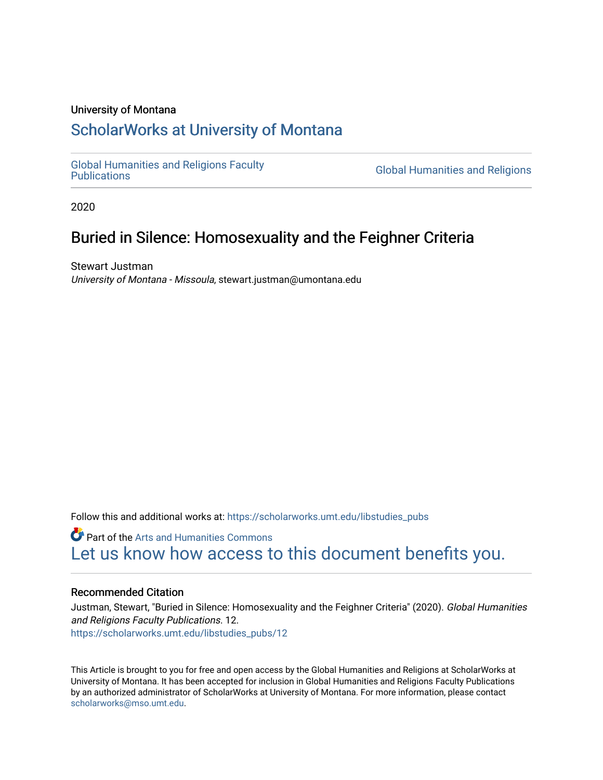# University of Montana

# [ScholarWorks at University of Montana](https://scholarworks.umt.edu/)

[Global Humanities and Religions Faculty](https://scholarworks.umt.edu/libstudies_pubs)

**Global Humanities and Religions** 

2020

# Buried in Silence: Homosexuality and the Feighner Criteria

Stewart Justman University of Montana - Missoula, stewart.justman@umontana.edu

Follow this and additional works at: [https://scholarworks.umt.edu/libstudies\\_pubs](https://scholarworks.umt.edu/libstudies_pubs?utm_source=scholarworks.umt.edu%2Flibstudies_pubs%2F12&utm_medium=PDF&utm_campaign=PDFCoverPages) 

**Part of the Arts and Humanities Commons** [Let us know how access to this document benefits you.](https://goo.gl/forms/s2rGfXOLzz71qgsB2) 

# Recommended Citation

Justman, Stewart, "Buried in Silence: Homosexuality and the Feighner Criteria" (2020). Global Humanities and Religions Faculty Publications. 12. [https://scholarworks.umt.edu/libstudies\\_pubs/12](https://scholarworks.umt.edu/libstudies_pubs/12?utm_source=scholarworks.umt.edu%2Flibstudies_pubs%2F12&utm_medium=PDF&utm_campaign=PDFCoverPages)

This Article is brought to you for free and open access by the Global Humanities and Religions at ScholarWorks at University of Montana. It has been accepted for inclusion in Global Humanities and Religions Faculty Publications by an authorized administrator of ScholarWorks at University of Montana. For more information, please contact [scholarworks@mso.umt.edu.](mailto:scholarworks@mso.umt.edu)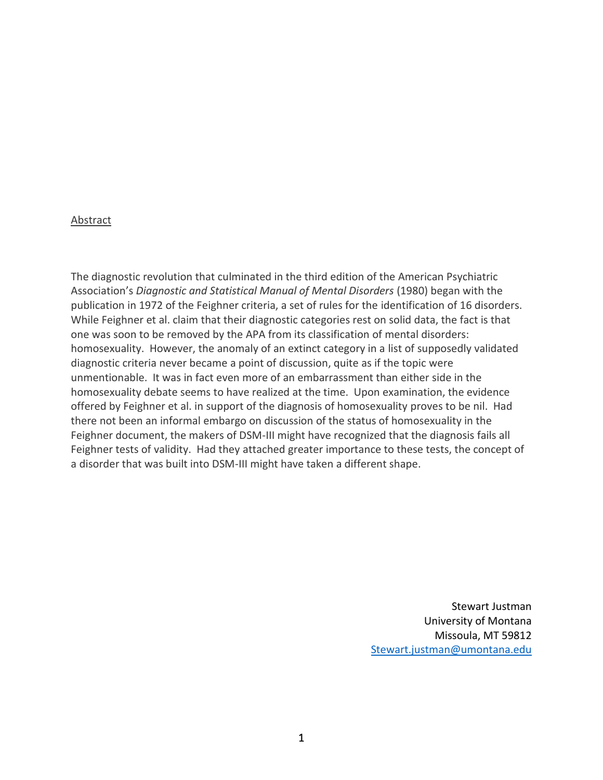# Abstract

The diagnostic revolution that culminated in the third edition of the American Psychiatric Association's *Diagnostic and Statistical Manual of Mental Disorders* (1980) began with the publication in 1972 of the Feighner criteria, a set of rules for the identification of 16 disorders. While Feighner et al. claim that their diagnostic categories rest on solid data, the fact is that one was soon to be removed by the APA from its classification of mental disorders: homosexuality. However, the anomaly of an extinct category in a list of supposedly validated diagnostic criteria never became a point of discussion, quite as if the topic were unmentionable. It was in fact even more of an embarrassment than either side in the homosexuality debate seems to have realized at the time. Upon examination, the evidence offered by Feighner et al. in support of the diagnosis of homosexuality proves to be nil. Had there not been an informal embargo on discussion of the status of homosexuality in the Feighner document, the makers of DSM-III might have recognized that the diagnosis fails all Feighner tests of validity. Had they attached greater importance to these tests, the concept of a disorder that was built into DSM-III might have taken a different shape.

> Stewart Justman University of Montana Missoula, MT 59812 [Stewart.justman@umontana.edu](mailto:Stewart.justman@umontana.edu)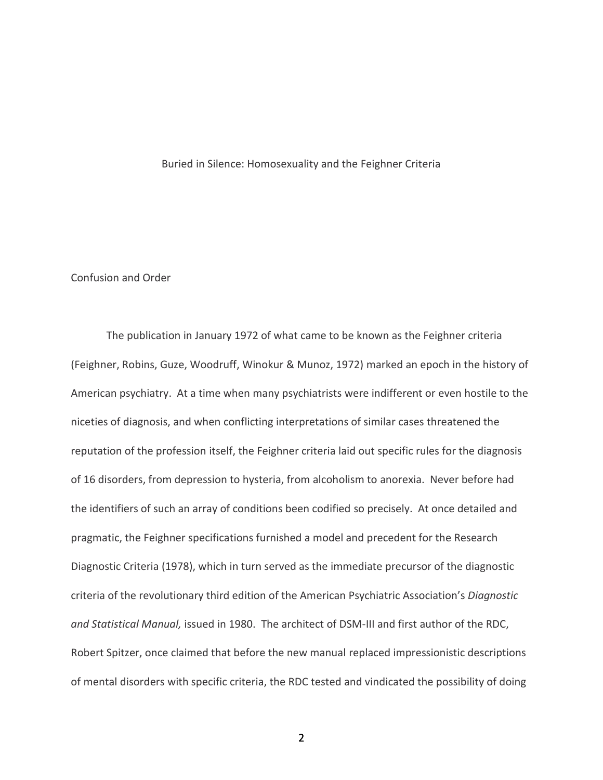### Buried in Silence: Homosexuality and the Feighner Criteria

# Confusion and Order

The publication in January 1972 of what came to be known as the Feighner criteria (Feighner, Robins, Guze, Woodruff, Winokur & Munoz, 1972) marked an epoch in the history of American psychiatry. At a time when many psychiatrists were indifferent or even hostile to the niceties of diagnosis, and when conflicting interpretations of similar cases threatened the reputation of the profession itself, the Feighner criteria laid out specific rules for the diagnosis of 16 disorders, from depression to hysteria, from alcoholism to anorexia. Never before had the identifiers of such an array of conditions been codified so precisely. At once detailed and pragmatic, the Feighner specifications furnished a model and precedent for the Research Diagnostic Criteria (1978), which in turn served as the immediate precursor of the diagnostic criteria of the revolutionary third edition of the American Psychiatric Association's *Diagnostic and Statistical Manual,* issued in 1980. The architect of DSM-III and first author of the RDC, Robert Spitzer, once claimed that before the new manual replaced impressionistic descriptions of mental disorders with specific criteria, the RDC tested and vindicated the possibility of doing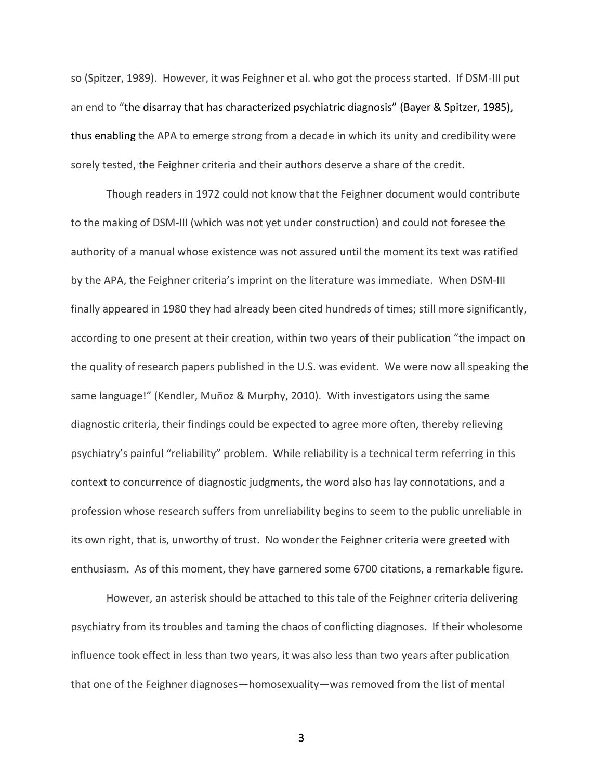so (Spitzer, 1989). However, it was Feighner et al. who got the process started. If DSM-III put an end to "the disarray that has characterized psychiatric diagnosis" (Bayer & Spitzer, 1985), thus enabling the APA to emerge strong from a decade in which its unity and credibility were sorely tested, the Feighner criteria and their authors deserve a share of the credit.

Though readers in 1972 could not know that the Feighner document would contribute to the making of DSM-III (which was not yet under construction) and could not foresee the authority of a manual whose existence was not assured until the moment its text was ratified by the APA, the Feighner criteria's imprint on the literature was immediate. When DSM-III finally appeared in 1980 they had already been cited hundreds of times; still more significantly, according to one present at their creation, within two years of their publication "the impact on the quality of research papers published in the U.S. was evident. We were now all speaking the same language!" (Kendler, Muñoz & Murphy, 2010). With investigators using the same diagnostic criteria, their findings could be expected to agree more often, thereby relieving psychiatry's painful "reliability" problem. While reliability is a technical term referring in this context to concurrence of diagnostic judgments, the word also has lay connotations, and a profession whose research suffers from unreliability begins to seem to the public unreliable in its own right, that is, unworthy of trust. No wonder the Feighner criteria were greeted with enthusiasm. As of this moment, they have garnered some 6700 citations, a remarkable figure.

However, an asterisk should be attached to this tale of the Feighner criteria delivering psychiatry from its troubles and taming the chaos of conflicting diagnoses. If their wholesome influence took effect in less than two years, it was also less than two years after publication that one of the Feighner diagnoses—homosexuality—was removed from the list of mental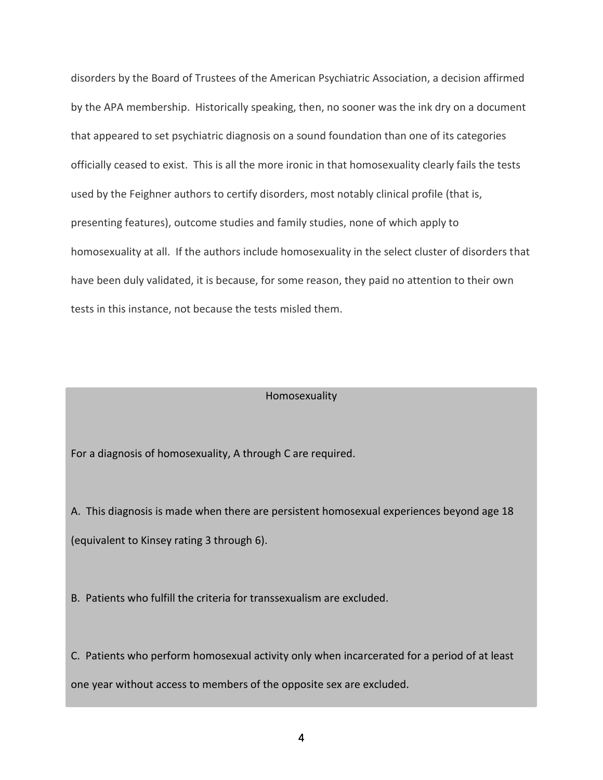disorders by the Board of Trustees of the American Psychiatric Association, a decision affirmed by the APA membership. Historically speaking, then, no sooner was the ink dry on a document that appeared to set psychiatric diagnosis on a sound foundation than one of its categories officially ceased to exist. This is all the more ironic in that homosexuality clearly fails the tests used by the Feighner authors to certify disorders, most notably clinical profile (that is, presenting features), outcome studies and family studies, none of which apply to homosexuality at all. If the authors include homosexuality in the select cluster of disorders that have been duly validated, it is because, for some reason, they paid no attention to their own tests in this instance, not because the tests misled them.

# Homosexuality

For a diagnosis of homosexuality, A through C are required.

A. This diagnosis is made when there are persistent homosexual experiences beyond age 18 (equivalent to Kinsey rating 3 through 6).

B. Patients who fulfill the criteria for transsexualism are excluded.

C. Patients who perform homosexual activity only when incarcerated for a period of at least one year without access to members of the opposite sex are excluded.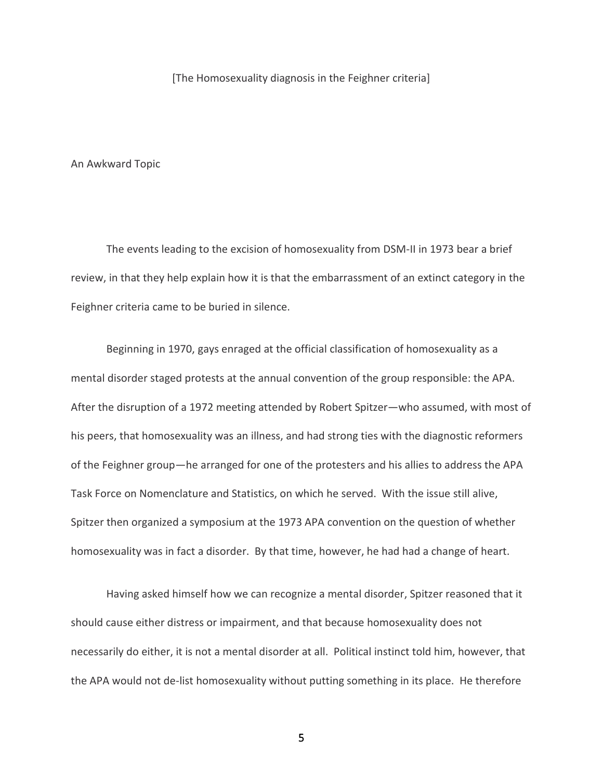[The Homosexuality diagnosis in the Feighner criteria]

An Awkward Topic

The events leading to the excision of homosexuality from DSM-II in 1973 bear a brief review, in that they help explain how it is that the embarrassment of an extinct category in the Feighner criteria came to be buried in silence.

Beginning in 1970, gays enraged at the official classification of homosexuality as a mental disorder staged protests at the annual convention of the group responsible: the APA. After the disruption of a 1972 meeting attended by Robert Spitzer—who assumed, with most of his peers, that homosexuality was an illness, and had strong ties with the diagnostic reformers of the Feighner group—he arranged for one of the protesters and his allies to address the APA Task Force on Nomenclature and Statistics, on which he served. With the issue still alive, Spitzer then organized a symposium at the 1973 APA convention on the question of whether homosexuality was in fact a disorder. By that time, however, he had had a change of heart.

Having asked himself how we can recognize a mental disorder, Spitzer reasoned that it should cause either distress or impairment, and that because homosexuality does not necessarily do either, it is not a mental disorder at all. Political instinct told him, however, that the APA would not de-list homosexuality without putting something in its place. He therefore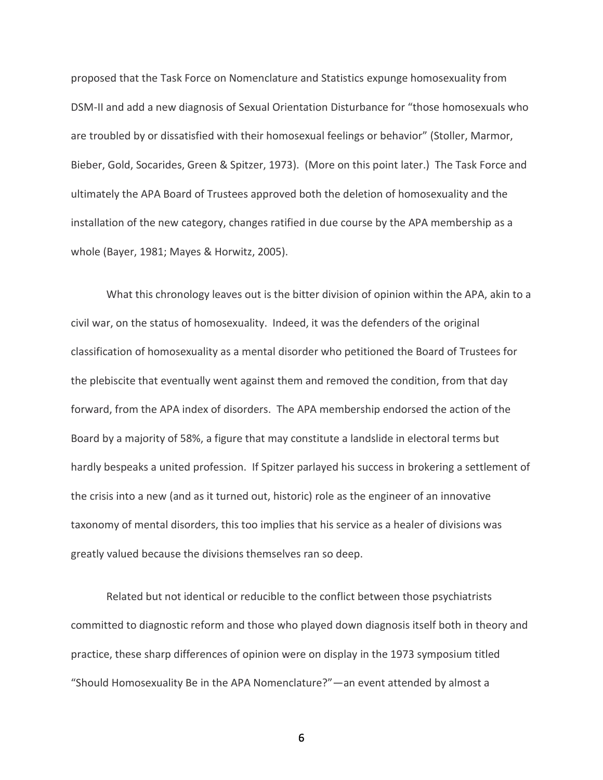proposed that the Task Force on Nomenclature and Statistics expunge homosexuality from DSM-II and add a new diagnosis of Sexual Orientation Disturbance for "those homosexuals who are troubled by or dissatisfied with their homosexual feelings or behavior" (Stoller, Marmor, Bieber, Gold, Socarides, Green & Spitzer, 1973). (More on this point later.) The Task Force and ultimately the APA Board of Trustees approved both the deletion of homosexuality and the installation of the new category, changes ratified in due course by the APA membership as a whole (Bayer, 1981; Mayes & Horwitz, 2005).

What this chronology leaves out is the bitter division of opinion within the APA, akin to a civil war, on the status of homosexuality. Indeed, it was the defenders of the original classification of homosexuality as a mental disorder who petitioned the Board of Trustees for the plebiscite that eventually went against them and removed the condition, from that day forward, from the APA index of disorders. The APA membership endorsed the action of the Board by a majority of 58%, a figure that may constitute a landslide in electoral terms but hardly bespeaks a united profession. If Spitzer parlayed his success in brokering a settlement of the crisis into a new (and as it turned out, historic) role as the engineer of an innovative taxonomy of mental disorders, this too implies that his service as a healer of divisions was greatly valued because the divisions themselves ran so deep.

Related but not identical or reducible to the conflict between those psychiatrists committed to diagnostic reform and those who played down diagnosis itself both in theory and practice, these sharp differences of opinion were on display in the 1973 symposium titled "Should Homosexuality Be in the APA Nomenclature?"—an event attended by almost a

 $\overline{6}$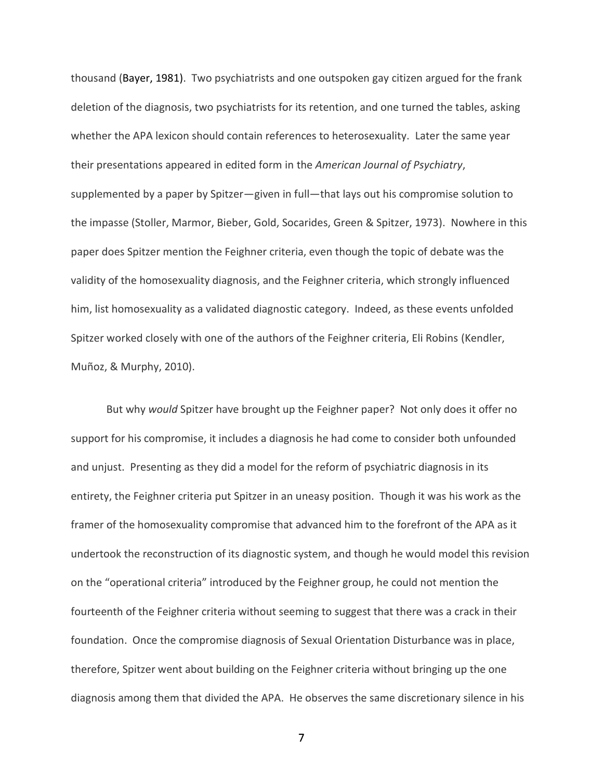thousand (Bayer, 1981). Two psychiatrists and one outspoken gay citizen argued for the frank deletion of the diagnosis, two psychiatrists for its retention, and one turned the tables, asking whether the APA lexicon should contain references to heterosexuality. Later the same year their presentations appeared in edited form in the *American Journal of Psychiatry*, supplemented by a paper by Spitzer—given in full—that lays out his compromise solution to the impasse (Stoller, Marmor, Bieber, Gold, Socarides, Green & Spitzer, 1973). Nowhere in this paper does Spitzer mention the Feighner criteria, even though the topic of debate was the validity of the homosexuality diagnosis, and the Feighner criteria, which strongly influenced him, list homosexuality as a validated diagnostic category. Indeed, as these events unfolded Spitzer worked closely with one of the authors of the Feighner criteria, Eli Robins (Kendler, Muñoz, & Murphy, 2010).

But why *would* Spitzer have brought up the Feighner paper? Not only does it offer no support for his compromise, it includes a diagnosis he had come to consider both unfounded and unjust. Presenting as they did a model for the reform of psychiatric diagnosis in its entirety, the Feighner criteria put Spitzer in an uneasy position. Though it was his work as the framer of the homosexuality compromise that advanced him to the forefront of the APA as it undertook the reconstruction of its diagnostic system, and though he would model this revision on the "operational criteria" introduced by the Feighner group, he could not mention the fourteenth of the Feighner criteria without seeming to suggest that there was a crack in their foundation. Once the compromise diagnosis of Sexual Orientation Disturbance was in place, therefore, Spitzer went about building on the Feighner criteria without bringing up the one diagnosis among them that divided the APA. He observes the same discretionary silence in his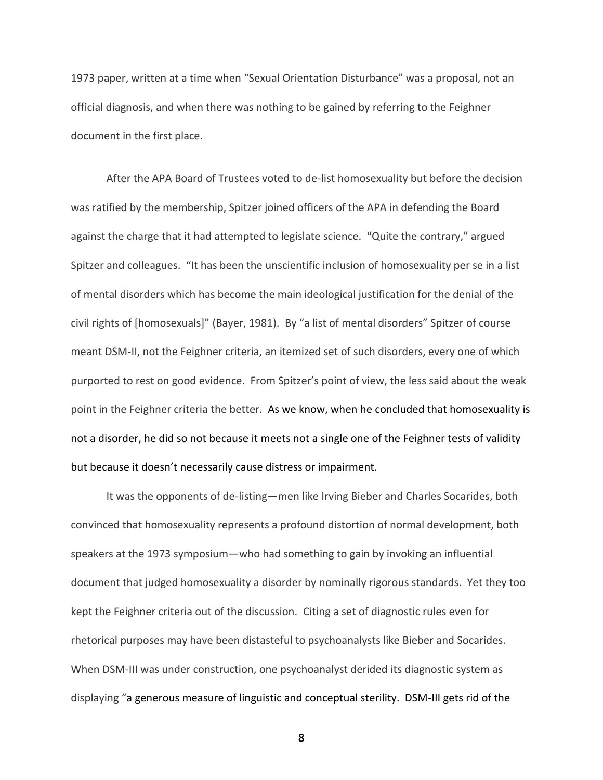1973 paper, written at a time when "Sexual Orientation Disturbance" was a proposal, not an official diagnosis, and when there was nothing to be gained by referring to the Feighner document in the first place.

After the APA Board of Trustees voted to de-list homosexuality but before the decision was ratified by the membership, Spitzer joined officers of the APA in defending the Board against the charge that it had attempted to legislate science. "Quite the contrary," argued Spitzer and colleagues. "It has been the unscientific inclusion of homosexuality per se in a list of mental disorders which has become the main ideological justification for the denial of the civil rights of [homosexuals]" (Bayer, 1981). By "a list of mental disorders" Spitzer of course meant DSM-II, not the Feighner criteria, an itemized set of such disorders, every one of which purported to rest on good evidence. From Spitzer's point of view, the less said about the weak point in the Feighner criteria the better. As we know, when he concluded that homosexuality is not a disorder, he did so not because it meets not a single one of the Feighner tests of validity but because it doesn't necessarily cause distress or impairment.

It was the opponents of de-listing—men like Irving Bieber and Charles Socarides, both convinced that homosexuality represents a profound distortion of normal development, both speakers at the 1973 symposium—who had something to gain by invoking an influential document that judged homosexuality a disorder by nominally rigorous standards. Yet they too kept the Feighner criteria out of the discussion. Citing a set of diagnostic rules even for rhetorical purposes may have been distasteful to psychoanalysts like Bieber and Socarides. When DSM-III was under construction, one psychoanalyst derided its diagnostic system as displaying "a generous measure of linguistic and conceptual sterility. DSM-III gets rid of the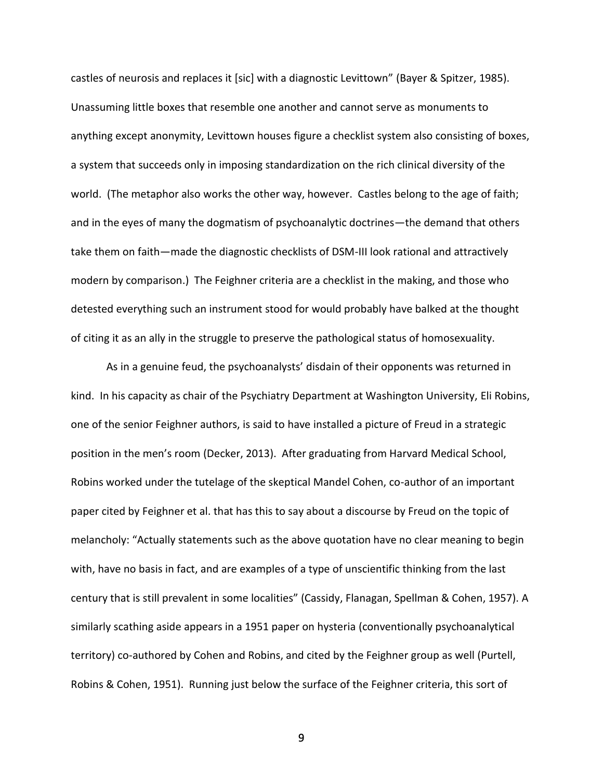castles of neurosis and replaces it [sic] with a diagnostic Levittown" (Bayer & Spitzer, 1985). Unassuming little boxes that resemble one another and cannot serve as monuments to anything except anonymity, Levittown houses figure a checklist system also consisting of boxes, a system that succeeds only in imposing standardization on the rich clinical diversity of the world. (The metaphor also works the other way, however. Castles belong to the age of faith; and in the eyes of many the dogmatism of psychoanalytic doctrines—the demand that others take them on faith—made the diagnostic checklists of DSM-III look rational and attractively modern by comparison.) The Feighner criteria are a checklist in the making, and those who detested everything such an instrument stood for would probably have balked at the thought of citing it as an ally in the struggle to preserve the pathological status of homosexuality.

As in a genuine feud, the psychoanalysts' disdain of their opponents was returned in kind. In his capacity as chair of the Psychiatry Department at Washington University, Eli Robins, one of the senior Feighner authors, is said to have installed a picture of Freud in a strategic position in the men's room (Decker, 2013). After graduating from Harvard Medical School, Robins worked under the tutelage of the skeptical Mandel Cohen, co-author of an important paper cited by Feighner et al. that has this to say about a discourse by Freud on the topic of melancholy: "Actually statements such as the above quotation have no clear meaning to begin with, have no basis in fact, and are examples of a type of unscientific thinking from the last century that is still prevalent in some localities" (Cassidy, Flanagan, Spellman & Cohen, 1957). A similarly scathing aside appears in a 1951 paper on hysteria (conventionally psychoanalytical territory) co-authored by Cohen and Robins, and cited by the Feighner group as well (Purtell, Robins & Cohen, 1951). Running just below the surface of the Feighner criteria, this sort of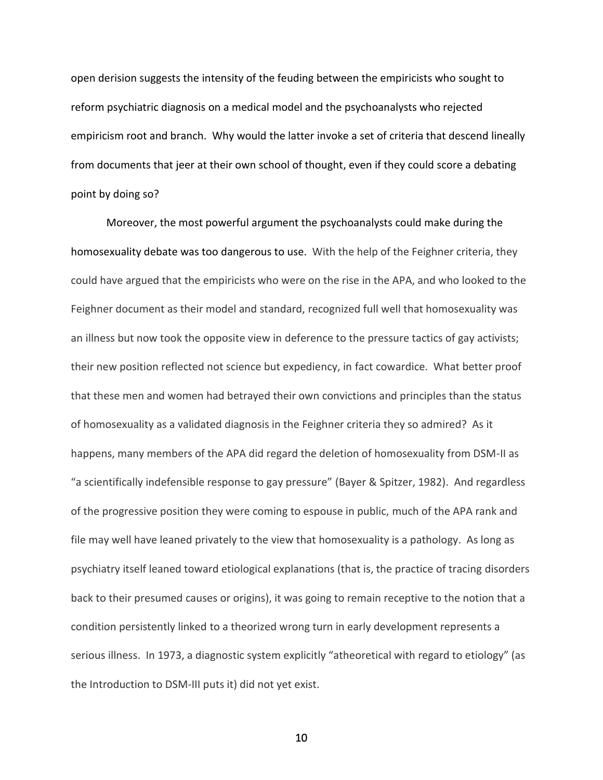open derision suggests the intensity of the feuding between the empiricists who sought to reform psychiatric diagnosis on a medical model and the psychoanalysts who rejected empiricism root and branch. Why would the latter invoke a set of criteria that descend lineally from documents that jeer at their own school of thought, even if they could score a debating point by doing so?

Moreover, the most powerful argument the psychoanalysts could make during the homosexuality debate was too dangerous to use. With the help of the Feighner criteria, they could have argued that the empiricists who were on the rise in the APA, and who looked to the Feighner document as their model and standard, recognized full well that homosexuality was an illness but now took the opposite view in deference to the pressure tactics of gay activists; their new position reflected not science but expediency, in fact cowardice. What better proof that these men and women had betrayed their own convictions and principles than the status of homosexuality as a validated diagnosis in the Feighner criteria they so admired? As it happens, many members of the APA did regard the deletion of homosexuality from DSM-II as "a scientifically indefensible response to gay pressure" (Bayer & Spitzer, 1982). And regardless of the progressive position they were coming to espouse in public, much of the APA rank and file may well have leaned privately to the view that homosexuality is a pathology. As long as psychiatry itself leaned toward etiological explanations (that is, the practice of tracing disorders back to their presumed causes or origins), it was going to remain receptive to the notion that a condition persistently linked to a theorized wrong turn in early development represents a serious illness. In 1973, a diagnostic system explicitly "atheoretical with regard to etiology" (as the Introduction to DSM-III puts it) did not yet exist.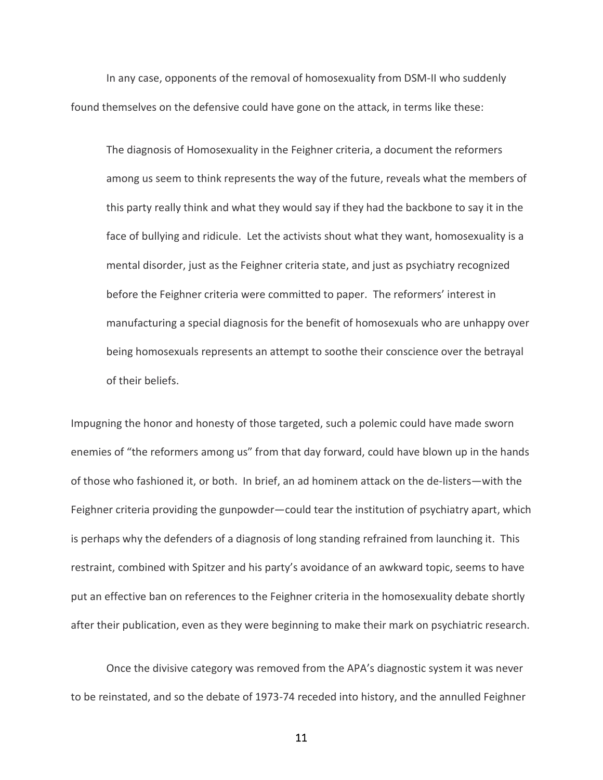In any case, opponents of the removal of homosexuality from DSM-II who suddenly found themselves on the defensive could have gone on the attack, in terms like these:

The diagnosis of Homosexuality in the Feighner criteria, a document the reformers among us seem to think represents the way of the future, reveals what the members of this party really think and what they would say if they had the backbone to say it in the face of bullying and ridicule. Let the activists shout what they want, homosexuality is a mental disorder, just as the Feighner criteria state, and just as psychiatry recognized before the Feighner criteria were committed to paper. The reformers' interest in manufacturing a special diagnosis for the benefit of homosexuals who are unhappy over being homosexuals represents an attempt to soothe their conscience over the betrayal of their beliefs.

Impugning the honor and honesty of those targeted, such a polemic could have made sworn enemies of "the reformers among us" from that day forward, could have blown up in the hands of those who fashioned it, or both. In brief, an ad hominem attack on the de-listers—with the Feighner criteria providing the gunpowder—could tear the institution of psychiatry apart, which is perhaps why the defenders of a diagnosis of long standing refrained from launching it. This restraint, combined with Spitzer and his party's avoidance of an awkward topic, seems to have put an effective ban on references to the Feighner criteria in the homosexuality debate shortly after their publication, even as they were beginning to make their mark on psychiatric research.

Once the divisive category was removed from the APA's diagnostic system it was never to be reinstated, and so the debate of 1973-74 receded into history, and the annulled Feighner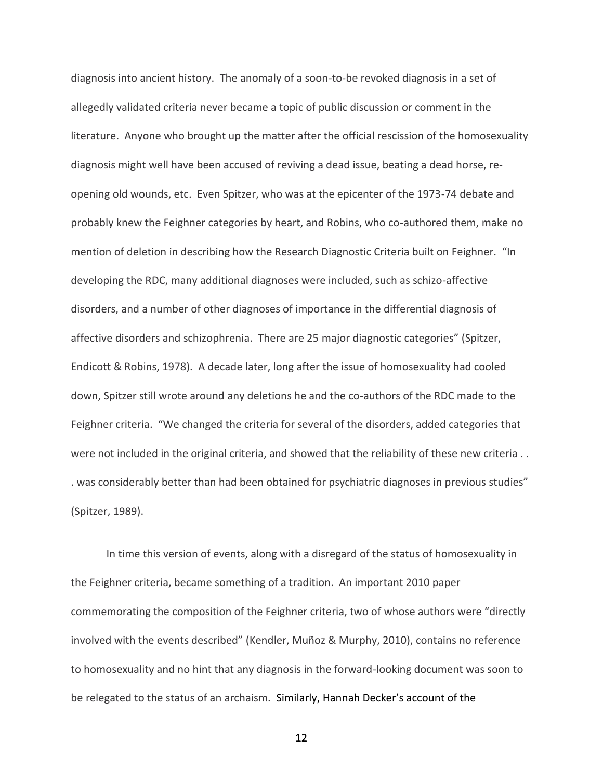diagnosis into ancient history. The anomaly of a soon-to-be revoked diagnosis in a set of allegedly validated criteria never became a topic of public discussion or comment in the literature. Anyone who brought up the matter after the official rescission of the homosexuality diagnosis might well have been accused of reviving a dead issue, beating a dead horse, reopening old wounds, etc. Even Spitzer, who was at the epicenter of the 1973-74 debate and probably knew the Feighner categories by heart, and Robins, who co-authored them, make no mention of deletion in describing how the Research Diagnostic Criteria built on Feighner. "In developing the RDC, many additional diagnoses were included, such as schizo-affective disorders, and a number of other diagnoses of importance in the differential diagnosis of affective disorders and schizophrenia. There are 25 major diagnostic categories" (Spitzer, Endicott & Robins, 1978). A decade later, long after the issue of homosexuality had cooled down, Spitzer still wrote around any deletions he and the co-authors of the RDC made to the Feighner criteria. "We changed the criteria for several of the disorders, added categories that were not included in the original criteria, and showed that the reliability of these new criteria . . . was considerably better than had been obtained for psychiatric diagnoses in previous studies" (Spitzer, 1989).

In time this version of events, along with a disregard of the status of homosexuality in the Feighner criteria, became something of a tradition. An important 2010 paper commemorating the composition of the Feighner criteria, two of whose authors were "directly involved with the events described" (Kendler, Muñoz & Murphy, 2010), contains no reference to homosexuality and no hint that any diagnosis in the forward-looking document was soon to be relegated to the status of an archaism. Similarly, Hannah Decker's account of the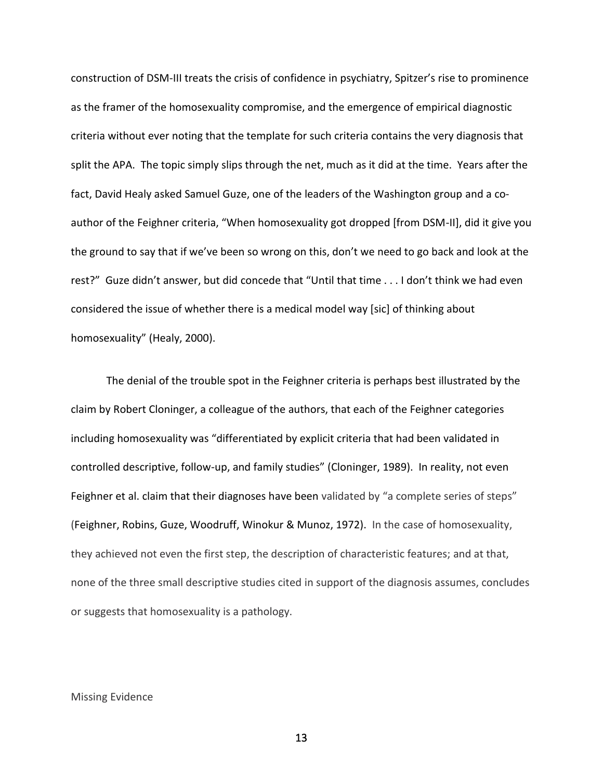construction of DSM-III treats the crisis of confidence in psychiatry, Spitzer's rise to prominence as the framer of the homosexuality compromise, and the emergence of empirical diagnostic criteria without ever noting that the template for such criteria contains the very diagnosis that split the APA. The topic simply slips through the net, much as it did at the time. Years after the fact, David Healy asked Samuel Guze, one of the leaders of the Washington group and a coauthor of the Feighner criteria, "When homosexuality got dropped [from DSM-II], did it give you the ground to say that if we've been so wrong on this, don't we need to go back and look at the rest?" Guze didn't answer, but did concede that "Until that time . . . I don't think we had even considered the issue of whether there is a medical model way [sic] of thinking about homosexuality" (Healy, 2000).

The denial of the trouble spot in the Feighner criteria is perhaps best illustrated by the claim by Robert Cloninger, a colleague of the authors, that each of the Feighner categories including homosexuality was "differentiated by explicit criteria that had been validated in controlled descriptive, follow-up, and family studies" (Cloninger, 1989). In reality, not even Feighner et al. claim that their diagnoses have been validated by "a complete series of steps" (Feighner, Robins, Guze, Woodruff, Winokur & Munoz, 1972). In the case of homosexuality, they achieved not even the first step, the description of characteristic features; and at that, none of the three small descriptive studies cited in support of the diagnosis assumes, concludes or suggests that homosexuality is a pathology.

#### Missing Evidence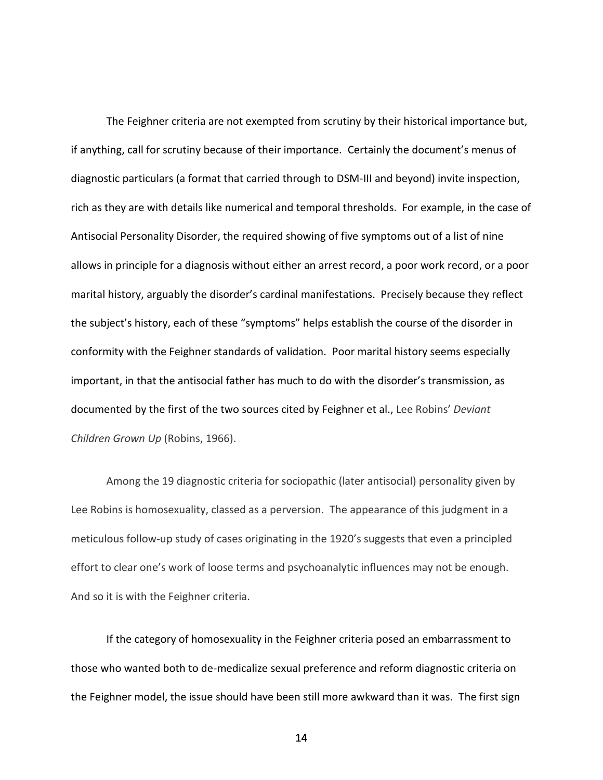The Feighner criteria are not exempted from scrutiny by their historical importance but, if anything, call for scrutiny because of their importance. Certainly the document's menus of diagnostic particulars (a format that carried through to DSM-III and beyond) invite inspection, rich as they are with details like numerical and temporal thresholds. For example, in the case of Antisocial Personality Disorder, the required showing of five symptoms out of a list of nine allows in principle for a diagnosis without either an arrest record, a poor work record, or a poor marital history, arguably the disorder's cardinal manifestations. Precisely because they reflect the subject's history, each of these "symptoms" helps establish the course of the disorder in conformity with the Feighner standards of validation. Poor marital history seems especially important, in that the antisocial father has much to do with the disorder's transmission, as documented by the first of the two sources cited by Feighner et al., Lee Robins' *Deviant Children Grown Up* (Robins, 1966).

Among the 19 diagnostic criteria for sociopathic (later antisocial) personality given by Lee Robins is homosexuality, classed as a perversion. The appearance of this judgment in a meticulous follow-up study of cases originating in the 1920's suggests that even a principled effort to clear one's work of loose terms and psychoanalytic influences may not be enough. And so it is with the Feighner criteria.

If the category of homosexuality in the Feighner criteria posed an embarrassment to those who wanted both to de-medicalize sexual preference and reform diagnostic criteria on the Feighner model, the issue should have been still more awkward than it was. The first sign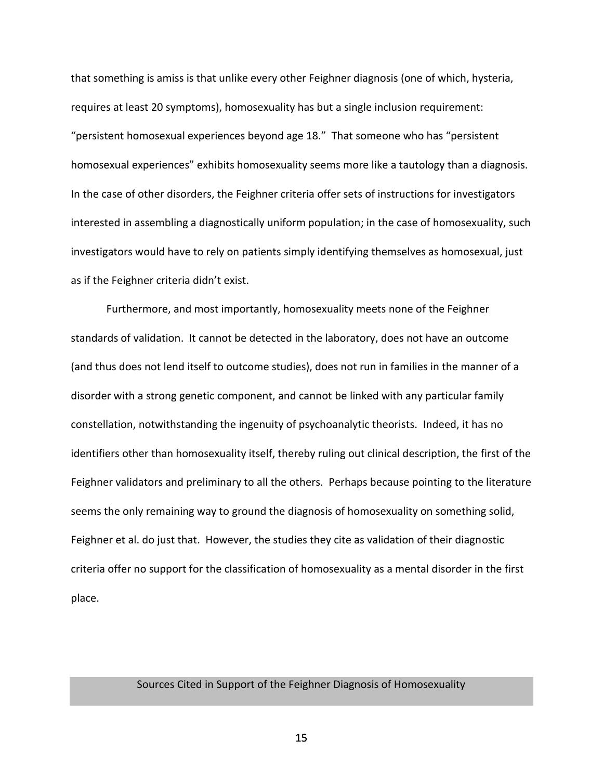that something is amiss is that unlike every other Feighner diagnosis (one of which, hysteria, requires at least 20 symptoms), homosexuality has but a single inclusion requirement: "persistent homosexual experiences beyond age 18." That someone who has "persistent homosexual experiences" exhibits homosexuality seems more like a tautology than a diagnosis. In the case of other disorders, the Feighner criteria offer sets of instructions for investigators interested in assembling a diagnostically uniform population; in the case of homosexuality, such investigators would have to rely on patients simply identifying themselves as homosexual, just as if the Feighner criteria didn't exist.

Furthermore, and most importantly, homosexuality meets none of the Feighner standards of validation. It cannot be detected in the laboratory, does not have an outcome (and thus does not lend itself to outcome studies), does not run in families in the manner of a disorder with a strong genetic component, and cannot be linked with any particular family constellation, notwithstanding the ingenuity of psychoanalytic theorists. Indeed, it has no identifiers other than homosexuality itself, thereby ruling out clinical description, the first of the Feighner validators and preliminary to all the others. Perhaps because pointing to the literature seems the only remaining way to ground the diagnosis of homosexuality on something solid, Feighner et al. do just that. However, the studies they cite as validation of their diagnostic criteria offer no support for the classification of homosexuality as a mental disorder in the first place.

# Sources Cited in Support of the Feighner Diagnosis of Homosexuality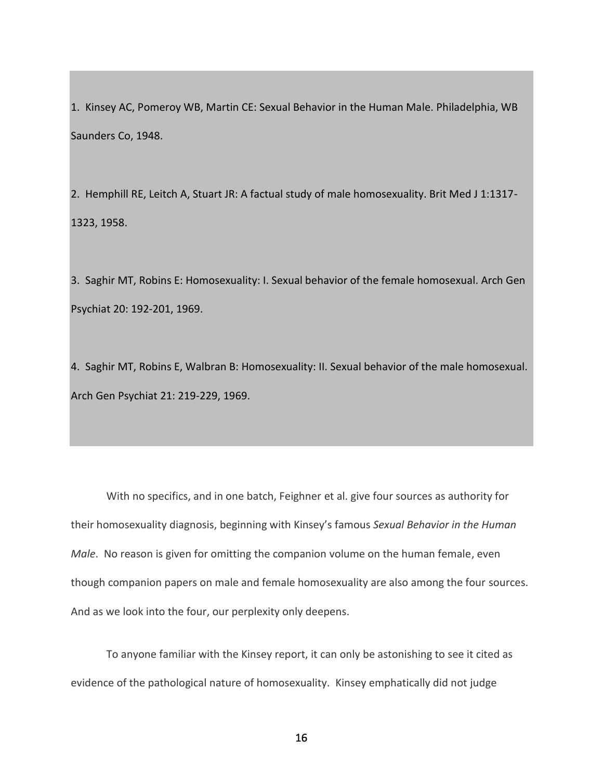1. Kinsey AC, Pomeroy WB, Martin CE: Sexual Behavior in the Human Male. Philadelphia, WB Saunders Co, 1948.

2. Hemphill RE, Leitch A, Stuart JR: A factual study of male homosexuality. Brit Med J 1:1317- 1323, 1958.

3. Saghir MT, Robins E: Homosexuality: I. Sexual behavior of the female homosexual. Arch Gen Psychiat 20: 192-201, 1969.

4. Saghir MT, Robins E, Walbran B: Homosexuality: II. Sexual behavior of the male homosexual. Arch Gen Psychiat 21: 219-229, 1969.

With no specifics, and in one batch, Feighner et al. give four sources as authority for their homosexuality diagnosis, beginning with Kinsey's famous *Sexual Behavior in the Human Male*. No reason is given for omitting the companion volume on the human female, even though companion papers on male and female homosexuality are also among the four sources. And as we look into the four, our perplexity only deepens.

To anyone familiar with the Kinsey report, it can only be astonishing to see it cited as evidence of the pathological nature of homosexuality. Kinsey emphatically did not judge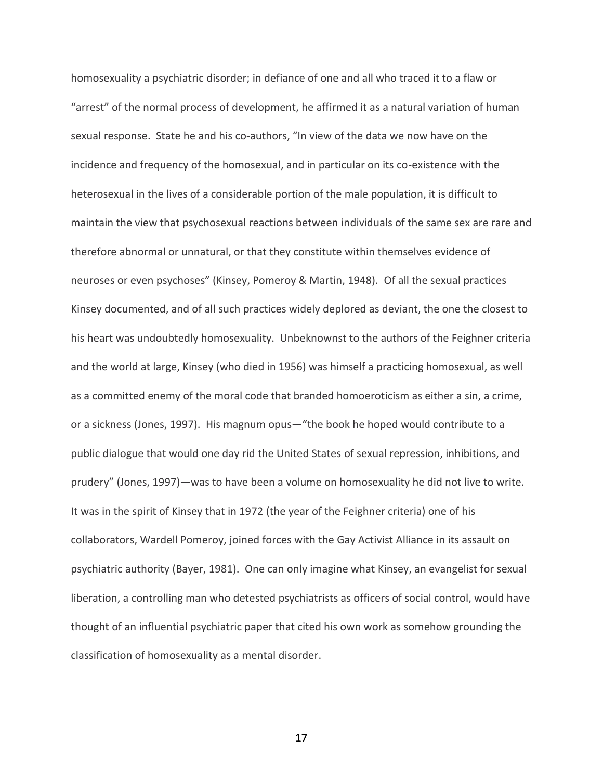homosexuality a psychiatric disorder; in defiance of one and all who traced it to a flaw or "arrest" of the normal process of development, he affirmed it as a natural variation of human sexual response. State he and his co-authors, "In view of the data we now have on the incidence and frequency of the homosexual, and in particular on its co-existence with the heterosexual in the lives of a considerable portion of the male population, it is difficult to maintain the view that psychosexual reactions between individuals of the same sex are rare and therefore abnormal or unnatural, or that they constitute within themselves evidence of neuroses or even psychoses" (Kinsey, Pomeroy & Martin, 1948). Of all the sexual practices Kinsey documented, and of all such practices widely deplored as deviant, the one the closest to his heart was undoubtedly homosexuality. Unbeknownst to the authors of the Feighner criteria and the world at large, Kinsey (who died in 1956) was himself a practicing homosexual, as well as a committed enemy of the moral code that branded homoeroticism as either a sin, a crime, or a sickness (Jones, 1997). His magnum opus—"the book he hoped would contribute to a public dialogue that would one day rid the United States of sexual repression, inhibitions, and prudery" (Jones, 1997)—was to have been a volume on homosexuality he did not live to write. It was in the spirit of Kinsey that in 1972 (the year of the Feighner criteria) one of his collaborators, Wardell Pomeroy, joined forces with the Gay Activist Alliance in its assault on psychiatric authority (Bayer, 1981). One can only imagine what Kinsey, an evangelist for sexual liberation, a controlling man who detested psychiatrists as officers of social control, would have thought of an influential psychiatric paper that cited his own work as somehow grounding the classification of homosexuality as a mental disorder.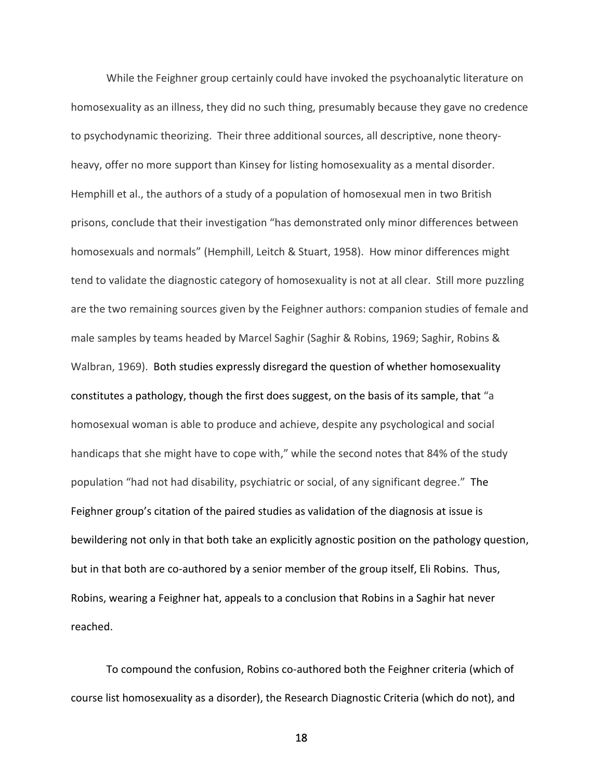While the Feighner group certainly could have invoked the psychoanalytic literature on homosexuality as an illness, they did no such thing, presumably because they gave no credence to psychodynamic theorizing. Their three additional sources, all descriptive, none theoryheavy, offer no more support than Kinsey for listing homosexuality as a mental disorder. Hemphill et al., the authors of a study of a population of homosexual men in two British prisons, conclude that their investigation "has demonstrated only minor differences between homosexuals and normals" (Hemphill, Leitch & Stuart, 1958). How minor differences might tend to validate the diagnostic category of homosexuality is not at all clear. Still more puzzling are the two remaining sources given by the Feighner authors: companion studies of female and male samples by teams headed by Marcel Saghir (Saghir & Robins, 1969; Saghir, Robins & Walbran, 1969). Both studies expressly disregard the question of whether homosexuality constitutes a pathology, though the first does suggest, on the basis of its sample, that "a homosexual woman is able to produce and achieve, despite any psychological and social handicaps that she might have to cope with," while the second notes that 84% of the study population "had not had disability, psychiatric or social, of any significant degree." The Feighner group's citation of the paired studies as validation of the diagnosis at issue is bewildering not only in that both take an explicitly agnostic position on the pathology question, but in that both are co-authored by a senior member of the group itself, Eli Robins. Thus, Robins, wearing a Feighner hat, appeals to a conclusion that Robins in a Saghir hat never reached.

To compound the confusion, Robins co-authored both the Feighner criteria (which of course list homosexuality as a disorder), the Research Diagnostic Criteria (which do not), and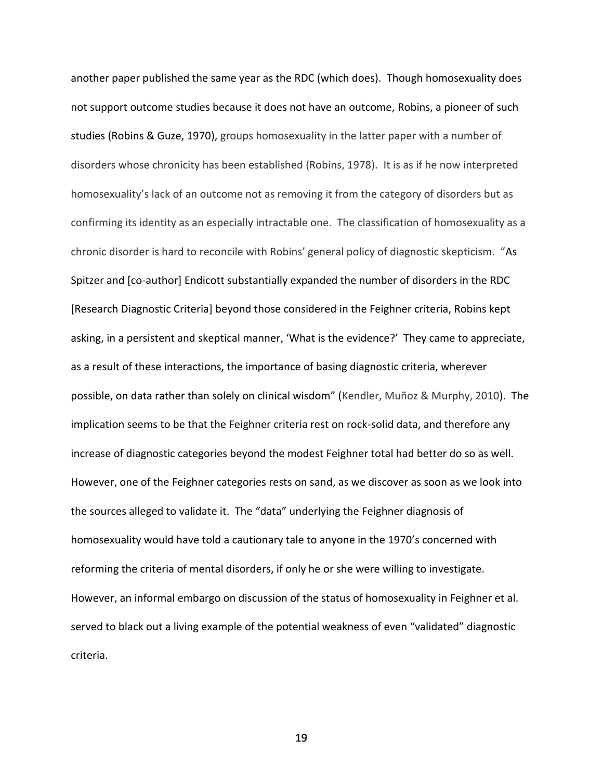another paper published the same year as the RDC (which does). Though homosexuality does not support outcome studies because it does not have an outcome, Robins, a pioneer of such studies (Robins & Guze, 1970), groups homosexuality in the latter paper with a number of disorders whose chronicity has been established (Robins, 1978). It is as if he now interpreted homosexuality's lack of an outcome not as removing it from the category of disorders but as confirming its identity as an especially intractable one. The classification of homosexuality as a chronic disorder is hard to reconcile with Robins' general policy of diagnostic skepticism. "As Spitzer and [co-author] Endicott substantially expanded the number of disorders in the RDC [Research Diagnostic Criteria] beyond those considered in the Feighner criteria, Robins kept asking, in a persistent and skeptical manner, 'What is the evidence?' They came to appreciate, as a result of these interactions, the importance of basing diagnostic criteria, wherever possible, on data rather than solely on clinical wisdom" (Kendler, Muñoz & Murphy, 2010). The implication seems to be that the Feighner criteria rest on rock-solid data, and therefore any increase of diagnostic categories beyond the modest Feighner total had better do so as well. However, one of the Feighner categories rests on sand, as we discover as soon as we look into the sources alleged to validate it. The "data" underlying the Feighner diagnosis of homosexuality would have told a cautionary tale to anyone in the 1970's concerned with reforming the criteria of mental disorders, if only he or she were willing to investigate. However, an informal embargo on discussion of the status of homosexuality in Feighner et al. served to black out a living example of the potential weakness of even "validated" diagnostic criteria.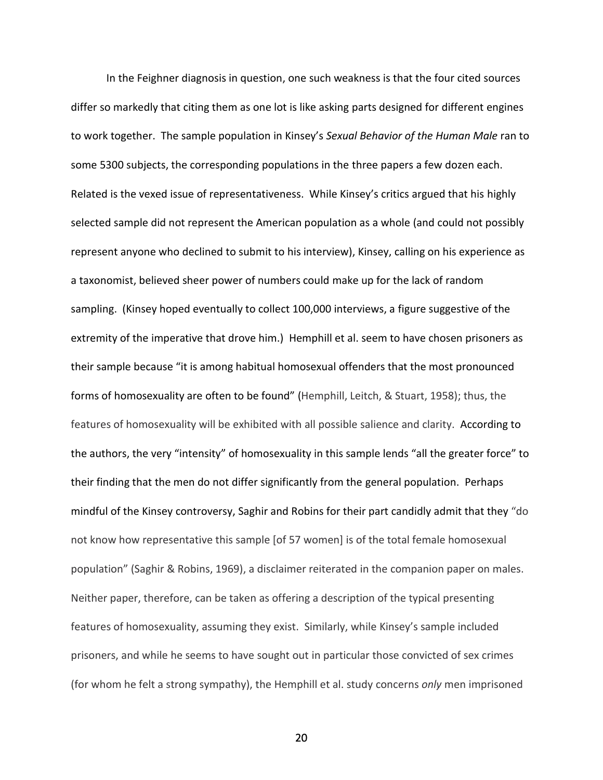In the Feighner diagnosis in question, one such weakness is that the four cited sources differ so markedly that citing them as one lot is like asking parts designed for different engines to work together. The sample population in Kinsey's *Sexual Behavior of the Human Male* ran to some 5300 subjects, the corresponding populations in the three papers a few dozen each. Related is the vexed issue of representativeness. While Kinsey's critics argued that his highly selected sample did not represent the American population as a whole (and could not possibly represent anyone who declined to submit to his interview), Kinsey, calling on his experience as a taxonomist, believed sheer power of numbers could make up for the lack of random sampling. (Kinsey hoped eventually to collect 100,000 interviews, a figure suggestive of the extremity of the imperative that drove him.) Hemphill et al. seem to have chosen prisoners as their sample because "it is among habitual homosexual offenders that the most pronounced forms of homosexuality are often to be found" (Hemphill, Leitch, & Stuart, 1958); thus, the features of homosexuality will be exhibited with all possible salience and clarity. According to the authors, the very "intensity" of homosexuality in this sample lends "all the greater force" to their finding that the men do not differ significantly from the general population. Perhaps mindful of the Kinsey controversy, Saghir and Robins for their part candidly admit that they "do not know how representative this sample [of 57 women] is of the total female homosexual population" (Saghir & Robins, 1969), a disclaimer reiterated in the companion paper on males. Neither paper, therefore, can be taken as offering a description of the typical presenting features of homosexuality, assuming they exist. Similarly, while Kinsey's sample included prisoners, and while he seems to have sought out in particular those convicted of sex crimes (for whom he felt a strong sympathy), the Hemphill et al. study concerns *only* men imprisoned

<u>20</u>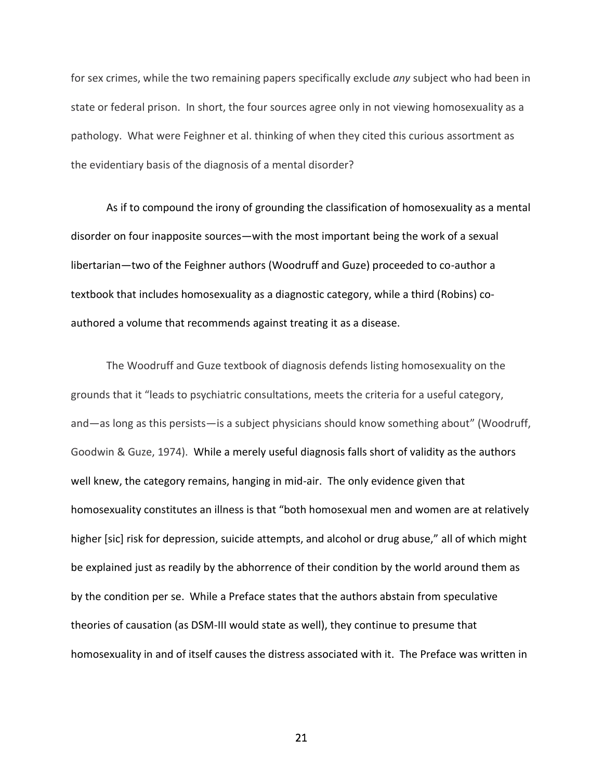for sex crimes, while the two remaining papers specifically exclude *any* subject who had been in state or federal prison. In short, the four sources agree only in not viewing homosexuality as a pathology. What were Feighner et al. thinking of when they cited this curious assortment as the evidentiary basis of the diagnosis of a mental disorder?

As if to compound the irony of grounding the classification of homosexuality as a mental disorder on four inapposite sources—with the most important being the work of a sexual libertarian—two of the Feighner authors (Woodruff and Guze) proceeded to co-author a textbook that includes homosexuality as a diagnostic category, while a third (Robins) coauthored a volume that recommends against treating it as a disease.

The Woodruff and Guze textbook of diagnosis defends listing homosexuality on the grounds that it "leads to psychiatric consultations, meets the criteria for a useful category, and—as long as this persists—is a subject physicians should know something about" (Woodruff, Goodwin & Guze, 1974). While a merely useful diagnosis falls short of validity as the authors well knew, the category remains, hanging in mid-air. The only evidence given that homosexuality constitutes an illness is that "both homosexual men and women are at relatively higher [sic] risk for depression, suicide attempts, and alcohol or drug abuse," all of which might be explained just as readily by the abhorrence of their condition by the world around them as by the condition per se. While a Preface states that the authors abstain from speculative theories of causation (as DSM-III would state as well), they continue to presume that homosexuality in and of itself causes the distress associated with it. The Preface was written in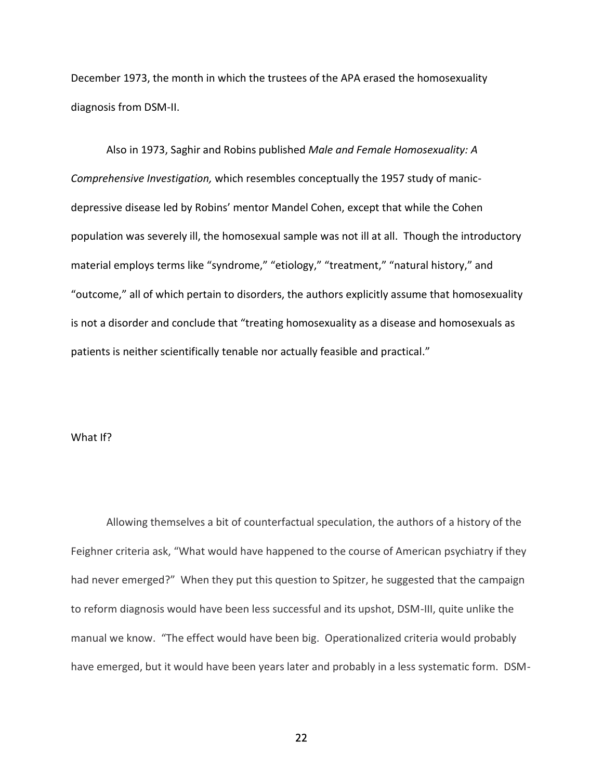December 1973, the month in which the trustees of the APA erased the homosexuality diagnosis from DSM-II.

Also in 1973, Saghir and Robins published *Male and Female Homosexuality: A Comprehensive Investigation,* which resembles conceptually the 1957 study of manicdepressive disease led by Robins' mentor Mandel Cohen, except that while the Cohen population was severely ill, the homosexual sample was not ill at all. Though the introductory material employs terms like "syndrome," "etiology," "treatment," "natural history," and "outcome," all of which pertain to disorders, the authors explicitly assume that homosexuality is not a disorder and conclude that "treating homosexuality as a disease and homosexuals as patients is neither scientifically tenable nor actually feasible and practical."

### What If?

Allowing themselves a bit of counterfactual speculation, the authors of a history of the Feighner criteria ask, "What would have happened to the course of American psychiatry if they had never emerged?" When they put this question to Spitzer, he suggested that the campaign to reform diagnosis would have been less successful and its upshot, DSM-III, quite unlike the manual we know. "The effect would have been big. Operationalized criteria would probably have emerged, but it would have been years later and probably in a less systematic form. DSM-

<u>22</u>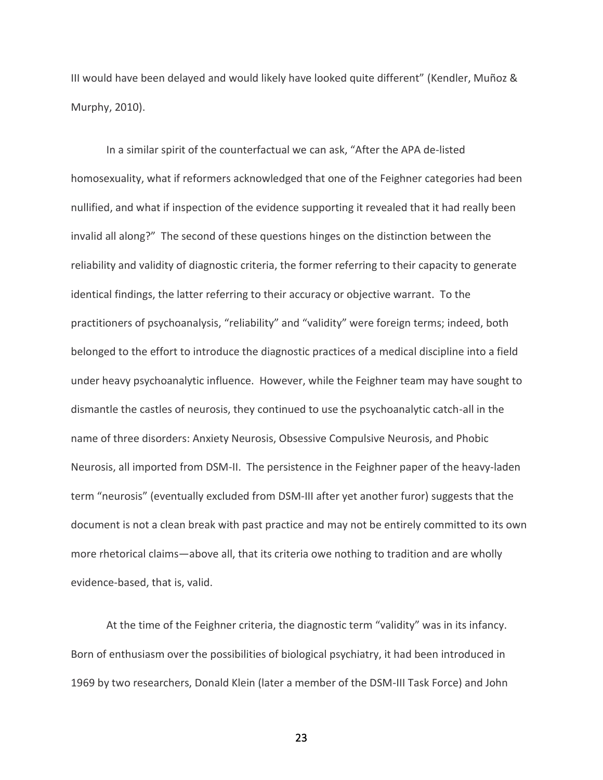III would have been delayed and would likely have looked quite different" (Kendler, Muñoz & Murphy, 2010).

In a similar spirit of the counterfactual we can ask, "After the APA de-listed homosexuality, what if reformers acknowledged that one of the Feighner categories had been nullified, and what if inspection of the evidence supporting it revealed that it had really been invalid all along?" The second of these questions hinges on the distinction between the reliability and validity of diagnostic criteria, the former referring to their capacity to generate identical findings, the latter referring to their accuracy or objective warrant. To the practitioners of psychoanalysis, "reliability" and "validity" were foreign terms; indeed, both belonged to the effort to introduce the diagnostic practices of a medical discipline into a field under heavy psychoanalytic influence. However, while the Feighner team may have sought to dismantle the castles of neurosis, they continued to use the psychoanalytic catch-all in the name of three disorders: Anxiety Neurosis, Obsessive Compulsive Neurosis, and Phobic Neurosis, all imported from DSM-II. The persistence in the Feighner paper of the heavy-laden term "neurosis" (eventually excluded from DSM-III after yet another furor) suggests that the document is not a clean break with past practice and may not be entirely committed to its own more rhetorical claims—above all, that its criteria owe nothing to tradition and are wholly evidence-based, that is, valid.

At the time of the Feighner criteria, the diagnostic term "validity" was in its infancy. Born of enthusiasm over the possibilities of biological psychiatry, it had been introduced in 1969 by two researchers, Donald Klein (later a member of the DSM-III Task Force) and John

<u>23</u>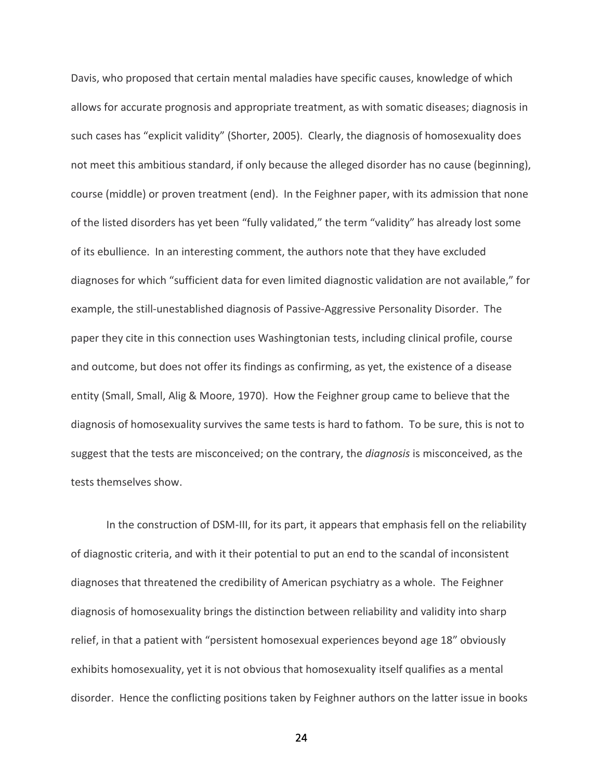Davis, who proposed that certain mental maladies have specific causes, knowledge of which allows for accurate prognosis and appropriate treatment, as with somatic diseases; diagnosis in such cases has "explicit validity" (Shorter, 2005). Clearly, the diagnosis of homosexuality does not meet this ambitious standard, if only because the alleged disorder has no cause (beginning), course (middle) or proven treatment (end). In the Feighner paper, with its admission that none of the listed disorders has yet been "fully validated," the term "validity" has already lost some of its ebullience. In an interesting comment, the authors note that they have excluded diagnoses for which "sufficient data for even limited diagnostic validation are not available," for example, the still-unestablished diagnosis of Passive-Aggressive Personality Disorder. The paper they cite in this connection uses Washingtonian tests, including clinical profile, course and outcome, but does not offer its findings as confirming, as yet, the existence of a disease entity (Small, Small, Alig & Moore, 1970). How the Feighner group came to believe that the diagnosis of homosexuality survives the same tests is hard to fathom. To be sure, this is not to suggest that the tests are misconceived; on the contrary, the *diagnosis* is misconceived, as the tests themselves show.

In the construction of DSM-III, for its part, it appears that emphasis fell on the reliability of diagnostic criteria, and with it their potential to put an end to the scandal of inconsistent diagnoses that threatened the credibility of American psychiatry as a whole. The Feighner diagnosis of homosexuality brings the distinction between reliability and validity into sharp relief, in that a patient with "persistent homosexual experiences beyond age 18" obviously exhibits homosexuality, yet it is not obvious that homosexuality itself qualifies as a mental disorder. Hence the conflicting positions taken by Feighner authors on the latter issue in books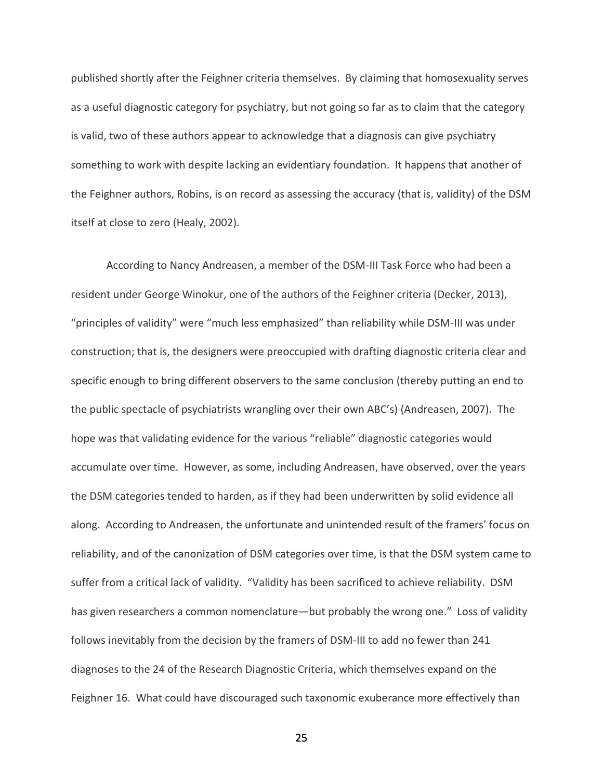published shortly after the Feighner criteria themselves. By claiming that homosexuality serves as a useful diagnostic category for psychiatry, but not going so far as to claim that the category is valid, two of these authors appear to acknowledge that a diagnosis can give psychiatry something to work with despite lacking an evidentiary foundation. It happens that another of the Feighner authors, Robins, is on record as assessing the accuracy (that is, validity) of the DSM itself at close to zero (Healy, 2002).

According to Nancy Andreasen, a member of the DSM-III Task Force who had been a resident under George Winokur, one of the authors of the Feighner criteria (Decker, 2013), "principles of validity" were "much less emphasized" than reliability while DSM-III was under construction; that is, the designers were preoccupied with drafting diagnostic criteria clear and specific enough to bring different observers to the same conclusion (thereby putting an end to the public spectacle of psychiatrists wrangling over their own ABC's) (Andreasen, 2007). The hope was that validating evidence for the various "reliable" diagnostic categories would accumulate over time. However, as some, including Andreasen, have observed, over the years the DSM categories tended to harden, as if they had been underwritten by solid evidence all along. According to Andreasen, the unfortunate and unintended result of the framers' focus on reliability, and of the canonization of DSM categories over time, is that the DSM system came to suffer from a critical lack of validity. "Validity has been sacrificed to achieve reliability. DSM has given researchers a common nomenclature—but probably the wrong one." Loss of validity follows inevitably from the decision by the framers of DSM-III to add no fewer than 241 diagnoses to the 24 of the Research Diagnostic Criteria, which themselves expand on the Feighner 16. What could have discouraged such taxonomic exuberance more effectively than

<u>25 and 25</u>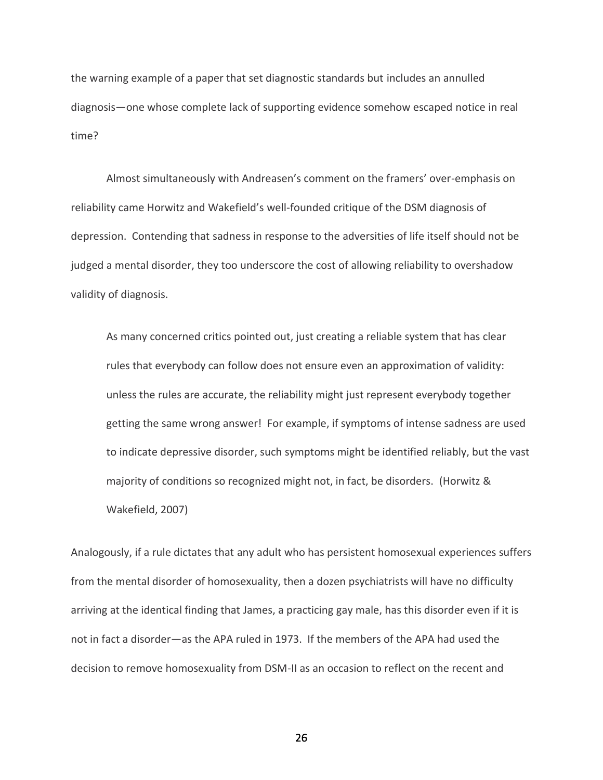the warning example of a paper that set diagnostic standards but includes an annulled diagnosis—one whose complete lack of supporting evidence somehow escaped notice in real time?

Almost simultaneously with Andreasen's comment on the framers' over-emphasis on reliability came Horwitz and Wakefield's well-founded critique of the DSM diagnosis of depression. Contending that sadness in response to the adversities of life itself should not be judged a mental disorder, they too underscore the cost of allowing reliability to overshadow validity of diagnosis.

As many concerned critics pointed out, just creating a reliable system that has clear rules that everybody can follow does not ensure even an approximation of validity: unless the rules are accurate, the reliability might just represent everybody together getting the same wrong answer! For example, if symptoms of intense sadness are used to indicate depressive disorder, such symptoms might be identified reliably, but the vast majority of conditions so recognized might not, in fact, be disorders. (Horwitz & Wakefield, 2007)

Analogously, if a rule dictates that any adult who has persistent homosexual experiences suffers from the mental disorder of homosexuality, then a dozen psychiatrists will have no difficulty arriving at the identical finding that James, a practicing gay male, has this disorder even if it is not in fact a disorder—as the APA ruled in 1973. If the members of the APA had used the decision to remove homosexuality from DSM-II as an occasion to reflect on the recent and

 $\sim$  26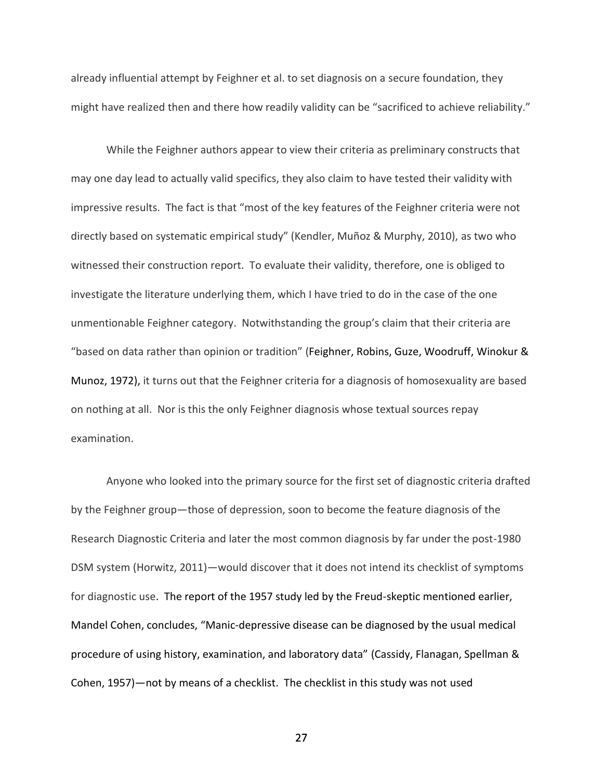already influential attempt by Feighner et al. to set diagnosis on a secure foundation, they might have realized then and there how readily validity can be "sacrificed to achieve reliability."

While the Feighner authors appear to view their criteria as preliminary constructs that may one day lead to actually valid specifics, they also claim to have tested their validity with impressive results. The fact is that "most of the key features of the Feighner criteria were not directly based on systematic empirical study" (Kendler, Muñoz & Murphy, 2010), as two who witnessed their construction report. To evaluate their validity, therefore, one is obliged to investigate the literature underlying them, which I have tried to do in the case of the one unmentionable Feighner category. Notwithstanding the group's claim that their criteria are "based on data rather than opinion or tradition" (Feighner, Robins, Guze, Woodruff, Winokur & Munoz, 1972), it turns out that the Feighner criteria for a diagnosis of homosexuality are based on nothing at all. Nor is this the only Feighner diagnosis whose textual sources repay examination.

Anyone who looked into the primary source for the first set of diagnostic criteria drafted by the Feighner group—those of depression, soon to become the feature diagnosis of the Research Diagnostic Criteria and later the most common diagnosis by far under the post-1980 DSM system (Horwitz, 2011)—would discover that it does not intend its checklist of symptoms for diagnostic use. The report of the 1957 study led by the Freud-skeptic mentioned earlier, Mandel Cohen, concludes, "Manic-depressive disease can be diagnosed by the usual medical procedure of using history, examination, and laboratory data" (Cassidy, Flanagan, Spellman & Cohen, 1957)—not by means of a checklist. The checklist in this study was not used

<u>27 and 27</u>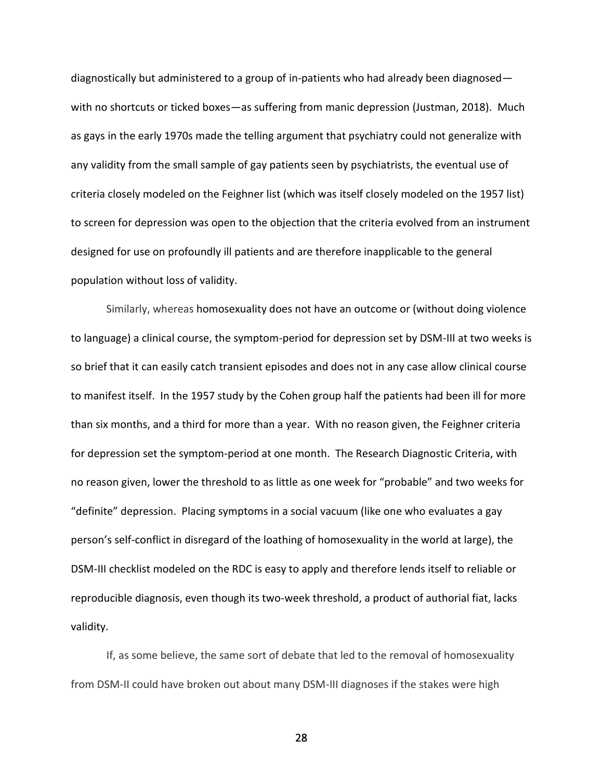diagnostically but administered to a group of in-patients who had already been diagnosed with no shortcuts or ticked boxes—as suffering from manic depression (Justman, 2018). Much as gays in the early 1970s made the telling argument that psychiatry could not generalize with any validity from the small sample of gay patients seen by psychiatrists, the eventual use of criteria closely modeled on the Feighner list (which was itself closely modeled on the 1957 list) to screen for depression was open to the objection that the criteria evolved from an instrument designed for use on profoundly ill patients and are therefore inapplicable to the general population without loss of validity.

Similarly, whereas homosexuality does not have an outcome or (without doing violence to language) a clinical course, the symptom-period for depression set by DSM-III at two weeks is so brief that it can easily catch transient episodes and does not in any case allow clinical course to manifest itself. In the 1957 study by the Cohen group half the patients had been ill for more than six months, and a third for more than a year. With no reason given, the Feighner criteria for depression set the symptom-period at one month. The Research Diagnostic Criteria, with no reason given, lower the threshold to as little as one week for "probable" and two weeks for "definite" depression. Placing symptoms in a social vacuum (like one who evaluates a gay person's self-conflict in disregard of the loathing of homosexuality in the world at large), the DSM-III checklist modeled on the RDC is easy to apply and therefore lends itself to reliable or reproducible diagnosis, even though its two-week threshold, a product of authorial fiat, lacks validity.

If, as some believe, the same sort of debate that led to the removal of homosexuality from DSM-II could have broken out about many DSM-III diagnoses if the stakes were high

<u>28 and 28</u>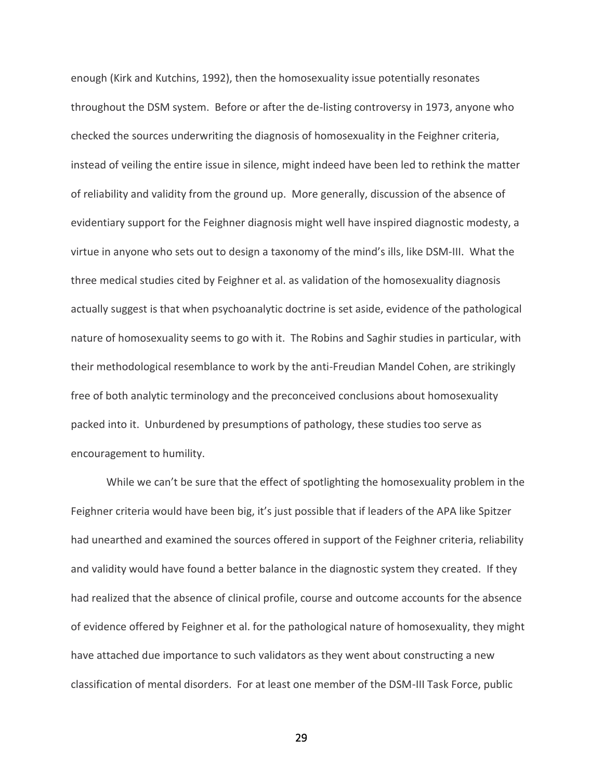enough (Kirk and Kutchins, 1992), then the homosexuality issue potentially resonates throughout the DSM system. Before or after the de-listing controversy in 1973, anyone who checked the sources underwriting the diagnosis of homosexuality in the Feighner criteria, instead of veiling the entire issue in silence, might indeed have been led to rethink the matter of reliability and validity from the ground up. More generally, discussion of the absence of evidentiary support for the Feighner diagnosis might well have inspired diagnostic modesty, a virtue in anyone who sets out to design a taxonomy of the mind's ills, like DSM-III. What the three medical studies cited by Feighner et al. as validation of the homosexuality diagnosis actually suggest is that when psychoanalytic doctrine is set aside, evidence of the pathological nature of homosexuality seems to go with it. The Robins and Saghir studies in particular, with their methodological resemblance to work by the anti-Freudian Mandel Cohen, are strikingly free of both analytic terminology and the preconceived conclusions about homosexuality packed into it. Unburdened by presumptions of pathology, these studies too serve as encouragement to humility.

While we can't be sure that the effect of spotlighting the homosexuality problem in the Feighner criteria would have been big, it's just possible that if leaders of the APA like Spitzer had unearthed and examined the sources offered in support of the Feighner criteria, reliability and validity would have found a better balance in the diagnostic system they created. If they had realized that the absence of clinical profile, course and outcome accounts for the absence of evidence offered by Feighner et al. for the pathological nature of homosexuality, they might have attached due importance to such validators as they went about constructing a new classification of mental disorders. For at least one member of the DSM-III Task Force, public

<u>29 and 29</u>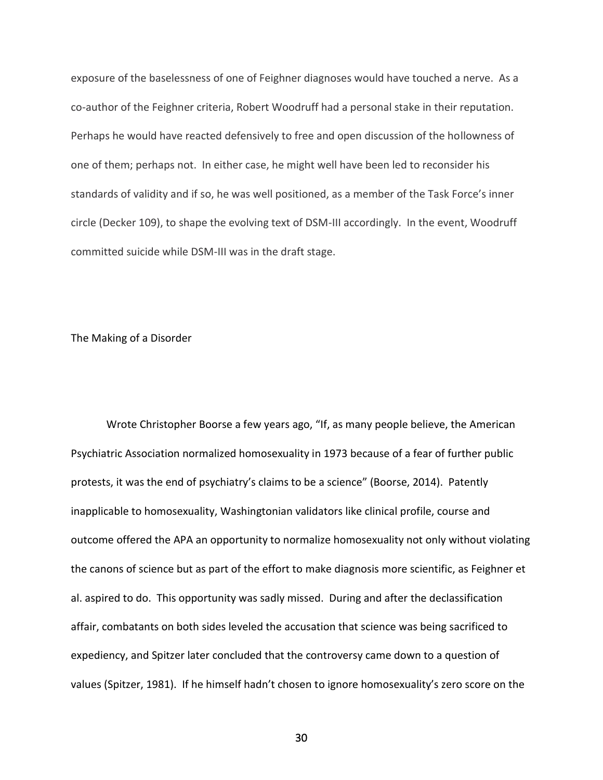exposure of the baselessness of one of Feighner diagnoses would have touched a nerve. As a co-author of the Feighner criteria, Robert Woodruff had a personal stake in their reputation. Perhaps he would have reacted defensively to free and open discussion of the hollowness of one of them; perhaps not. In either case, he might well have been led to reconsider his standards of validity and if so, he was well positioned, as a member of the Task Force's inner circle (Decker 109), to shape the evolving text of DSM-III accordingly. In the event, Woodruff committed suicide while DSM-III was in the draft stage.

# The Making of a Disorder

Wrote Christopher Boorse a few years ago, "If, as many people believe, the American Psychiatric Association normalized homosexuality in 1973 because of a fear of further public protests, it was the end of psychiatry's claims to be a science" (Boorse, 2014). Patently inapplicable to homosexuality, Washingtonian validators like clinical profile, course and outcome offered the APA an opportunity to normalize homosexuality not only without violating the canons of science but as part of the effort to make diagnosis more scientific, as Feighner et al. aspired to do. This opportunity was sadly missed. During and after the declassification affair, combatants on both sides leveled the accusation that science was being sacrificed to expediency, and Spitzer later concluded that the controversy came down to a question of values (Spitzer, 1981). If he himself hadn't chosen to ignore homosexuality's zero score on the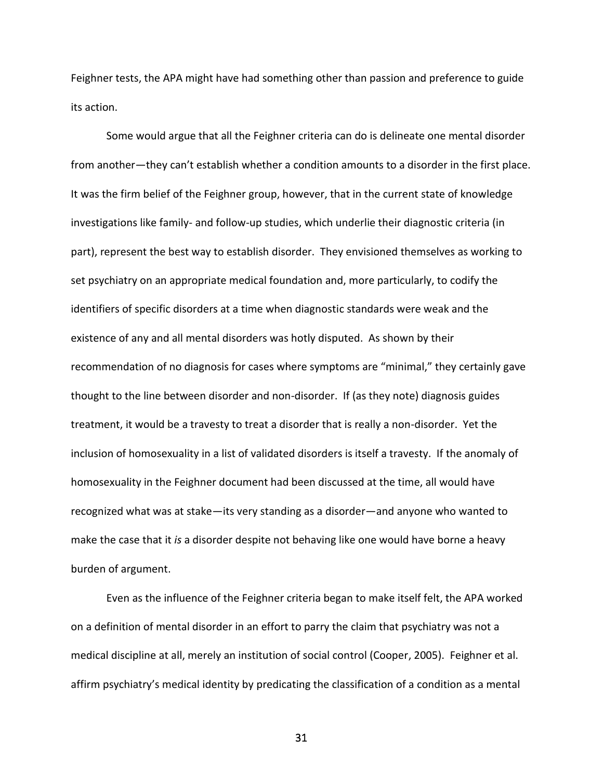Feighner tests, the APA might have had something other than passion and preference to guide its action.

Some would argue that all the Feighner criteria can do is delineate one mental disorder from another—they can't establish whether a condition amounts to a disorder in the first place. It was the firm belief of the Feighner group, however, that in the current state of knowledge investigations like family- and follow-up studies, which underlie their diagnostic criteria (in part), represent the best way to establish disorder. They envisioned themselves as working to set psychiatry on an appropriate medical foundation and, more particularly, to codify the identifiers of specific disorders at a time when diagnostic standards were weak and the existence of any and all mental disorders was hotly disputed. As shown by their recommendation of no diagnosis for cases where symptoms are "minimal," they certainly gave thought to the line between disorder and non-disorder. If (as they note) diagnosis guides treatment, it would be a travesty to treat a disorder that is really a non-disorder. Yet the inclusion of homosexuality in a list of validated disorders is itself a travesty. If the anomaly of homosexuality in the Feighner document had been discussed at the time, all would have recognized what was at stake—its very standing as a disorder—and anyone who wanted to make the case that it *is* a disorder despite not behaving like one would have borne a heavy burden of argument.

Even as the influence of the Feighner criteria began to make itself felt, the APA worked on a definition of mental disorder in an effort to parry the claim that psychiatry was not a medical discipline at all, merely an institution of social control (Cooper, 2005). Feighner et al. affirm psychiatry's medical identity by predicating the classification of a condition as a mental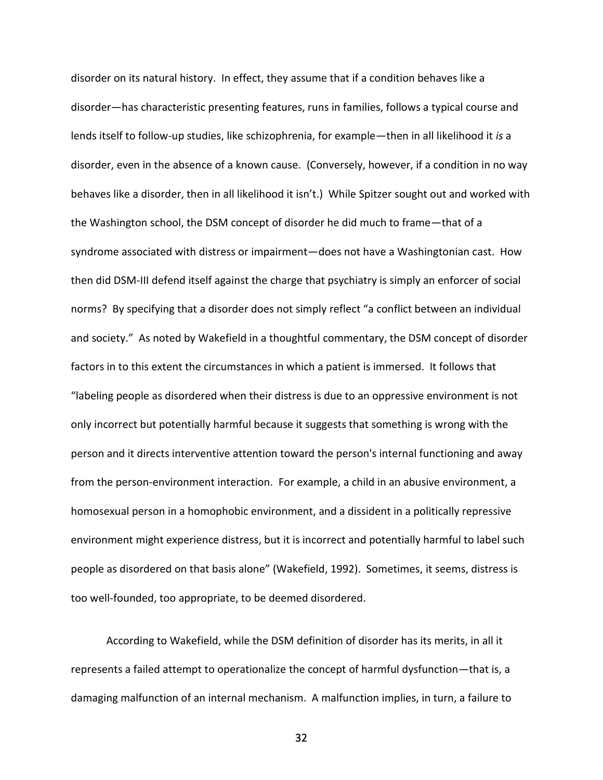disorder on its natural history. In effect, they assume that if a condition behaves like a disorder—has characteristic presenting features, runs in families, follows a typical course and lends itself to follow-up studies, like schizophrenia, for example—then in all likelihood it *is* a disorder, even in the absence of a known cause. (Conversely, however, if a condition in no way behaves like a disorder, then in all likelihood it isn't.) While Spitzer sought out and worked with the Washington school, the DSM concept of disorder he did much to frame—that of a syndrome associated with distress or impairment—does not have a Washingtonian cast. How then did DSM-III defend itself against the charge that psychiatry is simply an enforcer of social norms? By specifying that a disorder does not simply reflect "a conflict between an individual and society." As noted by Wakefield in a thoughtful commentary, the DSM concept of disorder factors in to this extent the circumstances in which a patient is immersed. It follows that "labeling people as disordered when their distress is due to an oppressive environment is not only incorrect but potentially harmful because it suggests that something is wrong with the person and it directs interventive attention toward the person's internal functioning and away from the person-environment interaction. For example, a child in an abusive environment, a homosexual person in a homophobic environment, and a dissident in a politically repressive environment might experience distress, but it is incorrect and potentially harmful to label such people as disordered on that basis alone" (Wakefield, 1992). Sometimes, it seems, distress is too well-founded, too appropriate, to be deemed disordered.

According to Wakefield, while the DSM definition of disorder has its merits, in all it represents a failed attempt to operationalize the concept of harmful dysfunction—that is, a damaging malfunction of an internal mechanism. A malfunction implies, in turn, a failure to

 $32<sup>2</sup>$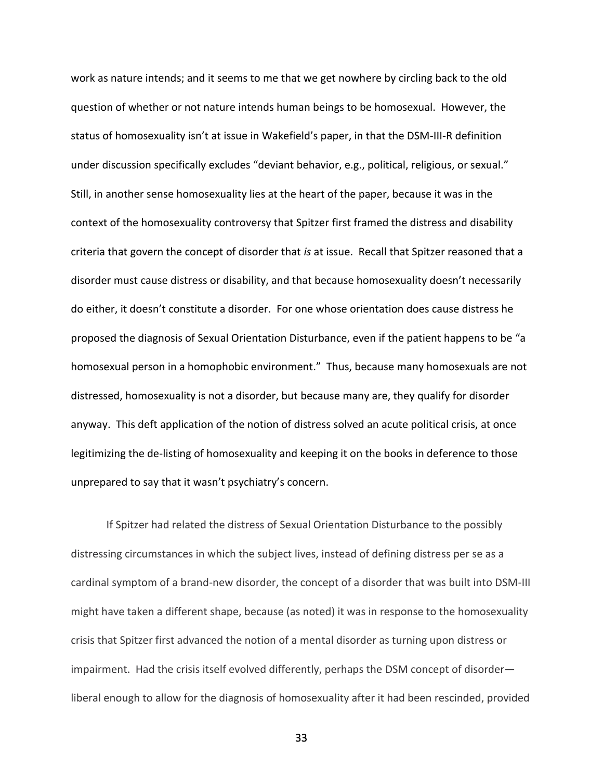work as nature intends; and it seems to me that we get nowhere by circling back to the old question of whether or not nature intends human beings to be homosexual. However, the status of homosexuality isn't at issue in Wakefield's paper, in that the DSM-III-R definition under discussion specifically excludes "deviant behavior, e.g., political, religious, or sexual." Still, in another sense homosexuality lies at the heart of the paper, because it was in the context of the homosexuality controversy that Spitzer first framed the distress and disability criteria that govern the concept of disorder that *is* at issue. Recall that Spitzer reasoned that a disorder must cause distress or disability, and that because homosexuality doesn't necessarily do either, it doesn't constitute a disorder. For one whose orientation does cause distress he proposed the diagnosis of Sexual Orientation Disturbance, even if the patient happens to be "a homosexual person in a homophobic environment." Thus, because many homosexuals are not distressed, homosexuality is not a disorder, but because many are, they qualify for disorder anyway. This deft application of the notion of distress solved an acute political crisis, at once legitimizing the de-listing of homosexuality and keeping it on the books in deference to those unprepared to say that it wasn't psychiatry's concern.

If Spitzer had related the distress of Sexual Orientation Disturbance to the possibly distressing circumstances in which the subject lives, instead of defining distress per se as a cardinal symptom of a brand-new disorder, the concept of a disorder that was built into DSM-III might have taken a different shape, because (as noted) it was in response to the homosexuality crisis that Spitzer first advanced the notion of a mental disorder as turning upon distress or impairment. Had the crisis itself evolved differently, perhaps the DSM concept of disorder liberal enough to allow for the diagnosis of homosexuality after it had been rescinded, provided

 $33<sup>3</sup>$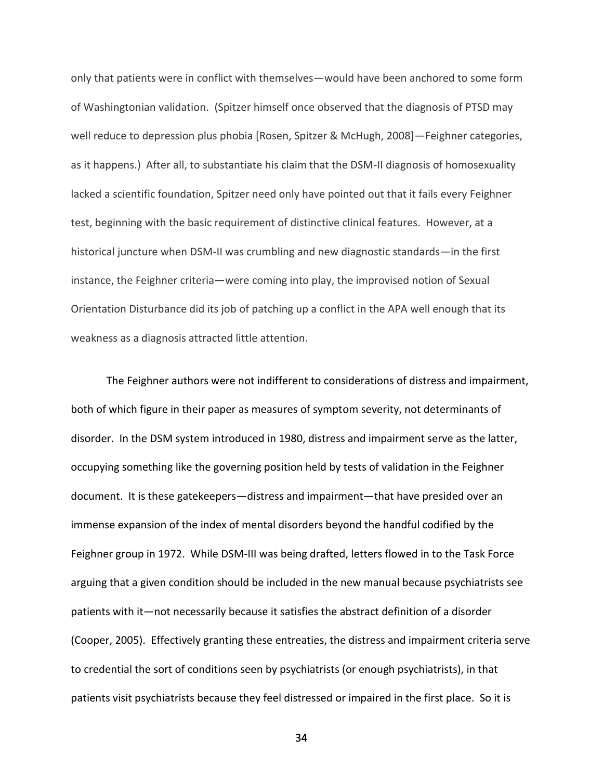only that patients were in conflict with themselves—would have been anchored to some form of Washingtonian validation. (Spitzer himself once observed that the diagnosis of PTSD may well reduce to depression plus phobia [Rosen, Spitzer & McHugh, 2008]—Feighner categories, as it happens.)After all, to substantiate his claim that the DSM-II diagnosis of homosexuality lacked a scientific foundation, Spitzer need only have pointed out that it fails every Feighner test, beginning with the basic requirement of distinctive clinical features. However, at a historical juncture when DSM-II was crumbling and new diagnostic standards—in the first instance, the Feighner criteria—were coming into play, the improvised notion of Sexual Orientation Disturbance did its job of patching up a conflict in the APA well enough that its weakness as a diagnosis attracted little attention.

The Feighner authors were not indifferent to considerations of distress and impairment, both of which figure in their paper as measures of symptom severity, not determinants of disorder. In the DSM system introduced in 1980, distress and impairment serve as the latter, occupying something like the governing position held by tests of validation in the Feighner document. It is these gatekeepers—distress and impairment—that have presided over an immense expansion of the index of mental disorders beyond the handful codified by the Feighner group in 1972. While DSM-III was being drafted, letters flowed in to the Task Force arguing that a given condition should be included in the new manual because psychiatrists see patients with it—not necessarily because it satisfies the abstract definition of a disorder (Cooper, 2005). Effectively granting these entreaties, the distress and impairment criteria serve to credential the sort of conditions seen by psychiatrists (or enough psychiatrists), in that patients visit psychiatrists because they feel distressed or impaired in the first place. So it is

<u>34 and 34</u>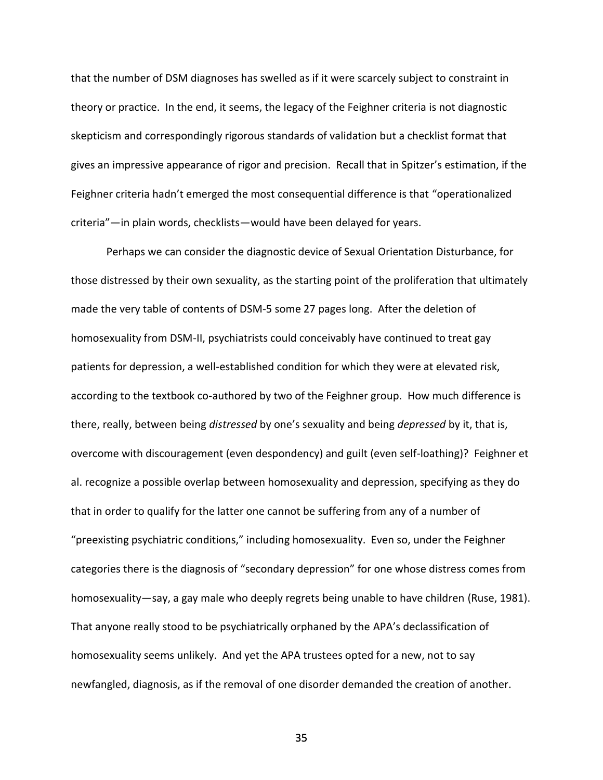that the number of DSM diagnoses has swelled as if it were scarcely subject to constraint in theory or practice. In the end, it seems, the legacy of the Feighner criteria is not diagnostic skepticism and correspondingly rigorous standards of validation but a checklist format that gives an impressive appearance of rigor and precision. Recall that in Spitzer's estimation, if the Feighner criteria hadn't emerged the most consequential difference is that "operationalized criteria"—in plain words, checklists—would have been delayed for years.

Perhaps we can consider the diagnostic device of Sexual Orientation Disturbance, for those distressed by their own sexuality, as the starting point of the proliferation that ultimately made the very table of contents of DSM-5 some 27 pages long. After the deletion of homosexuality from DSM-II, psychiatrists could conceivably have continued to treat gay patients for depression, a well-established condition for which they were at elevated risk, according to the textbook co-authored by two of the Feighner group. How much difference is there, really, between being *distressed* by one's sexuality and being *depressed* by it, that is, overcome with discouragement (even despondency) and guilt (even self-loathing)? Feighner et al. recognize a possible overlap between homosexuality and depression, specifying as they do that in order to qualify for the latter one cannot be suffering from any of a number of "preexisting psychiatric conditions," including homosexuality. Even so, under the Feighner categories there is the diagnosis of "secondary depression" for one whose distress comes from homosexuality—say, a gay male who deeply regrets being unable to have children (Ruse, 1981). That anyone really stood to be psychiatrically orphaned by the APA's declassification of homosexuality seems unlikely. And yet the APA trustees opted for a new, not to say newfangled, diagnosis, as if the removal of one disorder demanded the creation of another.

 $35<sub>35</sub>$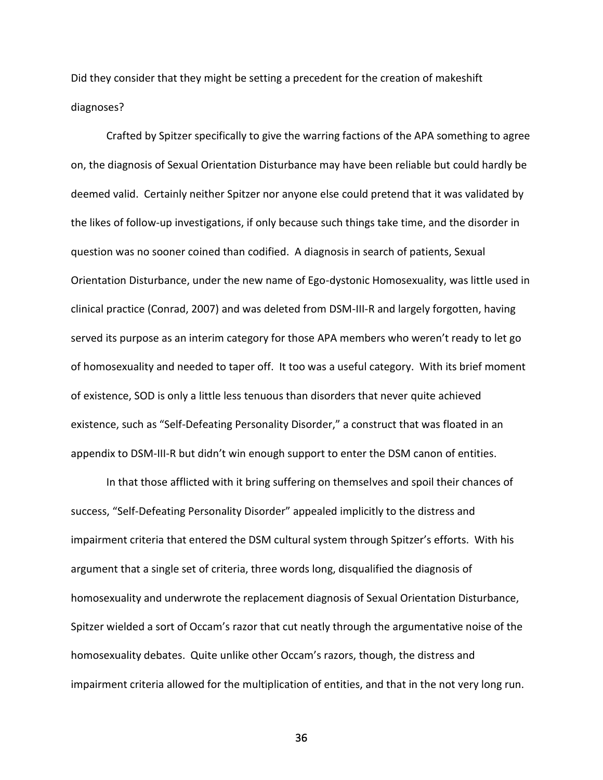Did they consider that they might be setting a precedent for the creation of makeshift diagnoses?

Crafted by Spitzer specifically to give the warring factions of the APA something to agree on, the diagnosis of Sexual Orientation Disturbance may have been reliable but could hardly be deemed valid. Certainly neither Spitzer nor anyone else could pretend that it was validated by the likes of follow-up investigations, if only because such things take time, and the disorder in question was no sooner coined than codified. A diagnosis in search of patients, Sexual Orientation Disturbance, under the new name of Ego-dystonic Homosexuality, was little used in clinical practice (Conrad, 2007) and was deleted from DSM-III-R and largely forgotten, having served its purpose as an interim category for those APA members who weren't ready to let go of homosexuality and needed to taper off. It too was a useful category. With its brief moment of existence, SOD is only a little less tenuous than disorders that never quite achieved existence, such as "Self-Defeating Personality Disorder," a construct that was floated in an appendix to DSM-III-R but didn't win enough support to enter the DSM canon of entities.

In that those afflicted with it bring suffering on themselves and spoil their chances of success, "Self-Defeating Personality Disorder" appealed implicitly to the distress and impairment criteria that entered the DSM cultural system through Spitzer's efforts. With his argument that a single set of criteria, three words long, disqualified the diagnosis of homosexuality and underwrote the replacement diagnosis of Sexual Orientation Disturbance, Spitzer wielded a sort of Occam's razor that cut neatly through the argumentative noise of the homosexuality debates. Quite unlike other Occam's razors, though, the distress and impairment criteria allowed for the multiplication of entities, and that in the not very long run.

 $36<sup>2</sup>$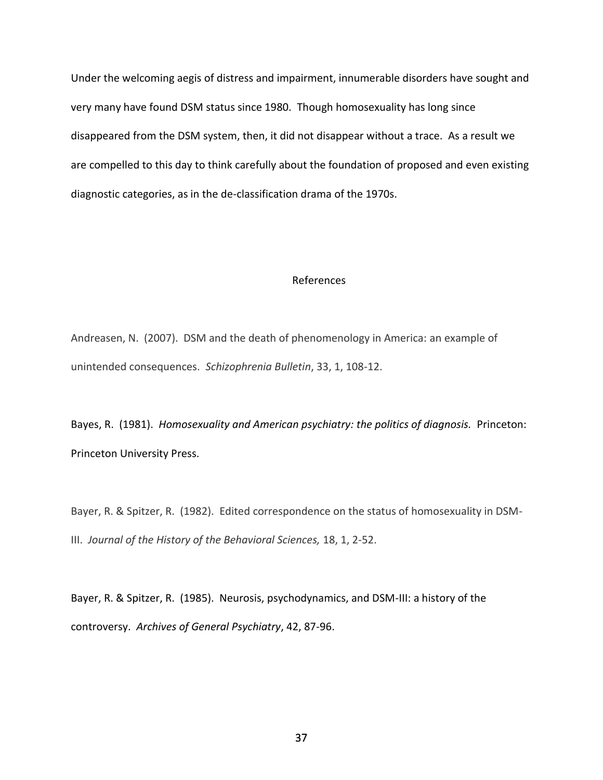Under the welcoming aegis of distress and impairment, innumerable disorders have sought and very many have found DSM status since 1980. Though homosexuality has long since disappeared from the DSM system, then, it did not disappear without a trace. As a result we are compelled to this day to think carefully about the foundation of proposed and even existing diagnostic categories, as in the de-classification drama of the 1970s.

### References

Andreasen, N. (2007). DSM and the death of phenomenology in America: an example of unintended consequences. *Schizophrenia Bulletin*, 33, 1, 108-12.

Bayes, R. (1981). *Homosexuality and American psychiatry: the politics of diagnosis.* Princeton: Princeton University Press.

Bayer, R. & Spitzer, R. (1982). Edited correspondence on the status of homosexuality in DSM-III. *Journal of the History of the Behavioral Sciences,* 18, 1, 2-52.

Bayer, R. & Spitzer, R. (1985). Neurosis, psychodynamics, and DSM-III: a history of the controversy. *Archives of General Psychiatry*, 42, 87-96.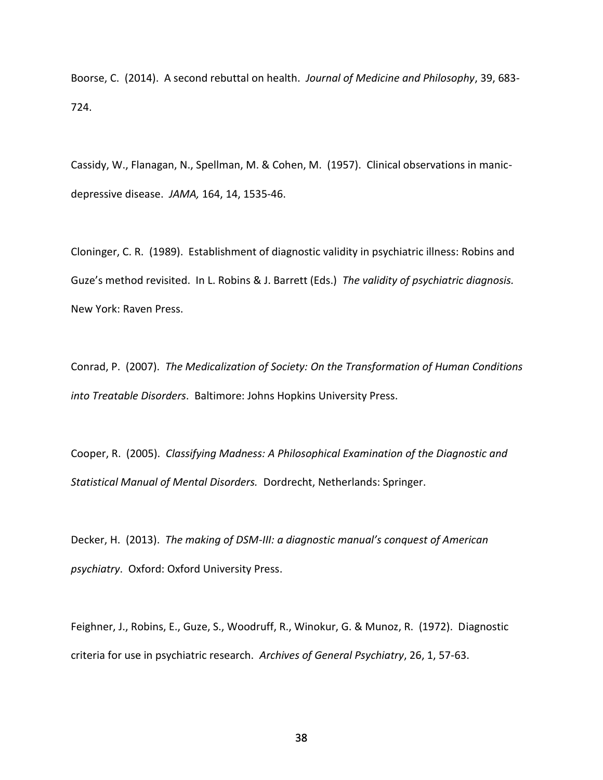Boorse, C. (2014). A second rebuttal on health. *Journal of Medicine and Philosophy*, 39, 683- 724.

Cassidy, W., Flanagan, N., Spellman, M. & Cohen, M. (1957). Clinical observations in manicdepressive disease. *JAMA,* 164, 14, 1535-46.

Cloninger, C. R. (1989). Establishment of diagnostic validity in psychiatric illness: Robins and Guze's method revisited. In L. Robins & J. Barrett (Eds.) *The validity of psychiatric diagnosis.* New York: Raven Press.

Conrad, P. (2007). *The Medicalization of Society: On the Transformation of Human Conditions into Treatable Disorders*. Baltimore: Johns Hopkins University Press.

Cooper, R. (2005). *Classifying Madness: A Philosophical Examination of the Diagnostic and Statistical Manual of Mental Disorders.* Dordrecht, Netherlands: Springer.

Decker, H. (2013). *The making of DSM-III: a diagnostic manual's conquest of American psychiatry*. Oxford: Oxford University Press.

Feighner, J., Robins, E., Guze, S., Woodruff, R., Winokur, G. & Munoz, R. (1972). Diagnostic criteria for use in psychiatric research. *Archives of General Psychiatry*, 26, 1, 57-63.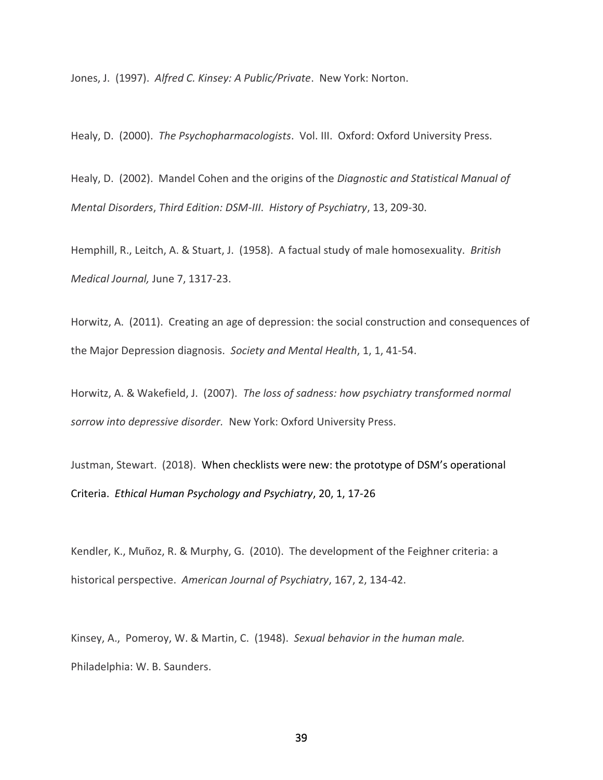Jones, J. (1997). *Alfred C. Kinsey: A Public/Private*. New York: Norton.

Healy, D. (2000). *The Psychopharmacologists*. Vol. III. Oxford: Oxford University Press.

Healy, D. (2002). Mandel Cohen and the origins of the *Diagnostic and Statistical Manual of Mental Disorders*, *Third Edition: DSM-III*. *History of Psychiatry*, 13, 209-30.

Hemphill, R., Leitch, A. & Stuart, J. (1958). A factual study of male homosexuality. *British Medical Journal,* June 7, 1317-23.

Horwitz, A. (2011). Creating an age of depression: the social construction and consequences of the Major Depression diagnosis. *Society and Mental Health*, 1, 1, 41-54.

Horwitz, A. & Wakefield, J. (2007). *The loss of sadness: how psychiatry transformed normal sorrow into depressive disorder.* New York: Oxford University Press.

Justman, Stewart. (2018). When checklists were new: the prototype of DSM's operational Criteria. *Ethical Human Psychology and Psychiatry*, 20, 1, 17-26

Kendler, K., Muñoz, R. & Murphy, G. (2010). The development of the Feighner criteria: a historical perspective. *American Journal of Psychiatry*, 167, 2, 134-42.

Kinsey, A., Pomeroy, W. & Martin, C. (1948). *Sexual behavior in the human male.* Philadelphia: W. B. Saunders.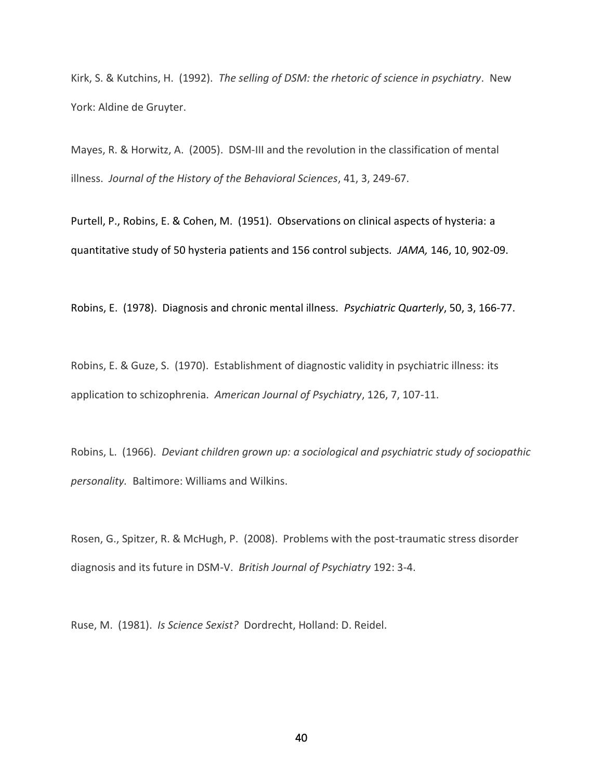Kirk, S. & Kutchins, H. (1992). *The selling of DSM: the rhetoric of science in psychiatry*. New York: Aldine de Gruyter.

Mayes, R. & Horwitz, A. (2005).DSM-III and the revolution in the classification of mental illness. *Journal of the History of the Behavioral Sciences*, 41, 3, 249-67.

Purtell, P., Robins, E. & Cohen, M. (1951). Observations on clinical aspects of hysteria: a quantitative study of 50 hysteria patients and 156 control subjects. *JAMA,* 146, 10, 902-09.

Robins, E. (1978). Diagnosis and chronic mental illness. *Psychiatric Quarterly*, 50, 3, 166-77.

Robins, E. & Guze, S. (1970). Establishment of diagnostic validity in psychiatric illness: its application to schizophrenia. *American Journal of Psychiatry*, 126, 7, 107-11.

Robins, L. (1966). *Deviant children grown up: a sociological and psychiatric study of sociopathic personality.* Baltimore: Williams and Wilkins.

Rosen, G., Spitzer, R. & McHugh, P. (2008). Problems with the post-traumatic stress disorder diagnosis and its future in DSM-V. *British Journal of Psychiatry* 192: 3-4.

Ruse, M. (1981). *Is Science Sexist?* Dordrecht, Holland: D. Reidel.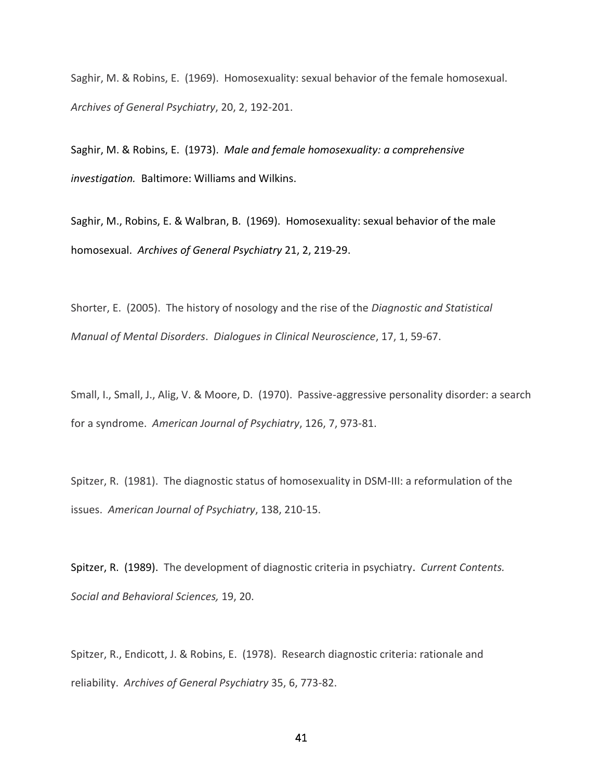Saghir, M. & Robins, E. (1969). Homosexuality: sexual behavior of the female homosexual. *Archives of General Psychiatry*, 20, 2, 192-201.

Saghir, M. & Robins, E. (1973). *Male and female homosexuality: a comprehensive investigation.* Baltimore: Williams and Wilkins.

Saghir, M., Robins, E. & Walbran, B. (1969). Homosexuality: sexual behavior of the male homosexual. *Archives of General Psychiatry* 21, 2, 219-29.

Shorter, E. (2005). The history of nosology and the rise of the *Diagnostic and Statistical Manual of Mental Disorders*. *Dialogues in Clinical Neuroscience*, 17, 1, 59-67.

Small, I., Small, J., Alig, V. & Moore, D. (1970). Passive-aggressive personality disorder: a search for a syndrome. *American Journal of Psychiatry*, 126, 7, 973-81.

Spitzer, R. (1981). The diagnostic status of homosexuality in DSM-III: a reformulation of the issues. *American Journal of Psychiatry*, 138, 210-15.

Spitzer, R. (1989). The development of diagnostic criteria in psychiatry. *Current Contents. Social and Behavioral Sciences,* 19, 20.

Spitzer, R., Endicott, J. & Robins, E. (1978). Research diagnostic criteria: rationale and reliability. *Archives of General Psychiatry* 35, 6, 773-82.